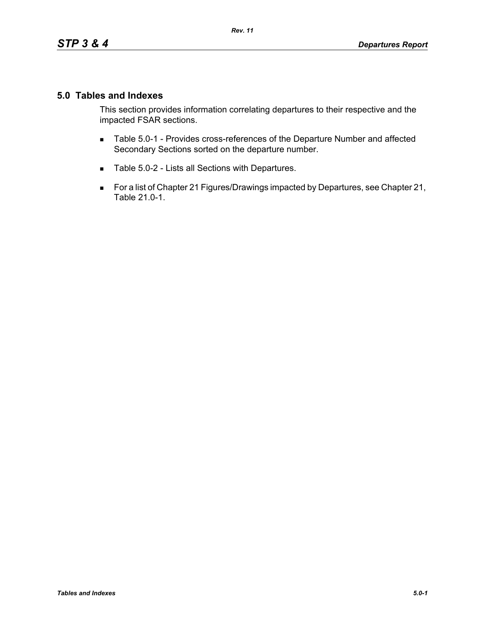## **5.0 Tables and Indexes**

This section provides information correlating departures to their respective and the impacted FSAR sections.

- **Table 5.0-1 Provides cross-references of the Departure Number and affected** Secondary Sections sorted on the departure number.
- Table 5.0-2 Lists all Sections with Departures.
- For a list of Chapter 21 Figures/Drawings impacted by Departures, see Chapter 21, Table 21.0-1.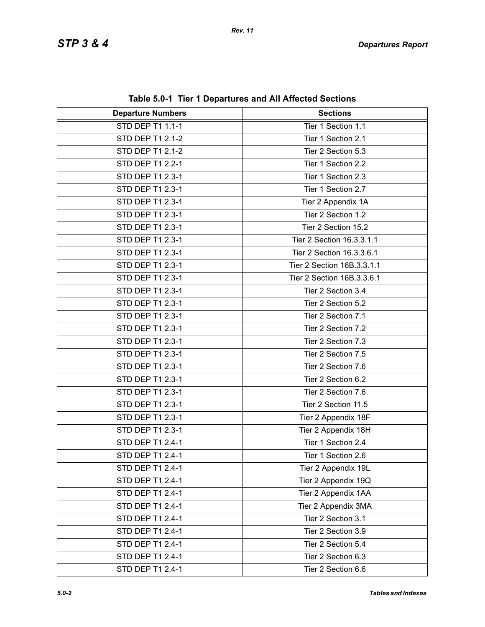| <b>Departure Numbers</b> | <b>Sections</b>            |
|--------------------------|----------------------------|
| <b>STD DEP T1 1.1-1</b>  | Tier 1 Section 1.1         |
| STD DEP T1 2.1-2         | Tier 1 Section 2.1         |
| <b>STD DEP T1 2.1-2</b>  | Tier 2 Section 5.3         |
| STD DEP T1 2.2-1         | Tier 1 Section 2.2         |
| STD DEP T1 2.3-1         | Tier 1 Section 2.3         |
| STD DEP T1 2.3-1         | Tier 1 Section 2.7         |
| <b>STD DEP T1 2.3-1</b>  | Tier 2 Appendix 1A         |
| STD DEP T1 2.3-1         | Tier 2 Section 1.2         |
| STD DEP T1 2.3-1         | Tier 2 Section 15.2        |
| STD DEP T1 2.3-1         | Tier 2 Section 16.3.3.1.1  |
| STD DEP T1 2.3-1         | Tier 2 Section 16.3.3.6.1  |
| STD DEP T1 2.3-1         | Tier 2 Section 16B.3.3.1.1 |
| STD DEP T1 2.3-1         | Tier 2 Section 16B.3.3.6.1 |
| STD DEP T1 2.3-1         | Tier 2 Section 3.4         |
| STD DEP T1 2.3-1         | Tier 2 Section 5.2         |
| STD DEP T1 2.3-1         | Tier 2 Section 7.1         |
| STD DEP T1 2.3-1         | Tier 2 Section 7.2         |
| STD DEP T1 2.3-1         | Tier 2 Section 7.3         |
| STD DEP T1 2.3-1         | Tier 2 Section 7.5         |
| STD DEP T1 2.3-1         | Tier 2 Section 7.6         |
| STD DEP T1 2.3-1         | Tier 2 Section 6.2         |
| STD DEP T1 2.3-1         | Tier 2 Section 7.6         |
| STD DEP T1 2.3-1         | Tier 2 Section 11.5        |
| STD DEP T1 2.3-1         | Tier 2 Appendix 18F        |
| STD DEP T1 2.3-1         | Tier 2 Appendix 18H        |
| STD DEP T1 2.4-1         | Tier 1 Section 2.4         |
| STD DEP T1 2.4-1         | Tier 1 Section 2.6         |
| STD DEP T1 2.4-1         | Tier 2 Appendix 19L        |
| STD DEP T1 2.4-1         | Tier 2 Appendix 19Q        |
| STD DEP T1 2.4-1         | Tier 2 Appendix 1AA        |
| STD DEP T1 2.4-1         | Tier 2 Appendix 3MA        |
| STD DEP T1 2.4-1         | Tier 2 Section 3.1         |
| STD DEP T1 2.4-1         | Tier 2 Section 3.9         |
| STD DEP T1 2.4-1         | Tier 2 Section 5.4         |
| STD DEP T1 2.4-1         | Tier 2 Section 6.3         |
| STD DEP T1 2.4-1         | Tier 2 Section 6.6         |

**Table 5.0-1 Tier 1 Departures and All Affected Sections**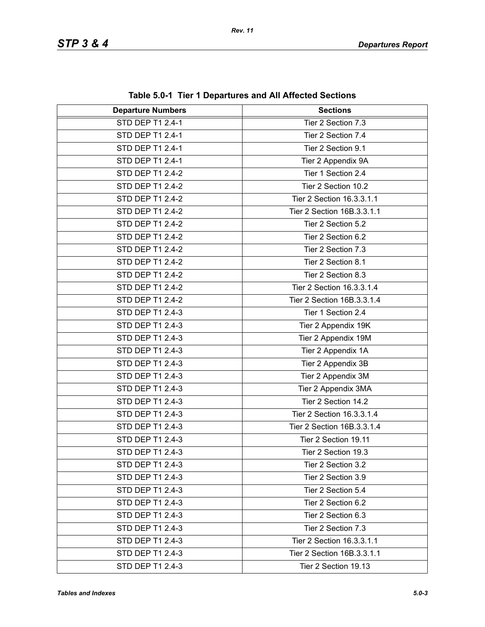| rable 5.0-1 Tier T Departures and All Anected Sections |                            |  |
|--------------------------------------------------------|----------------------------|--|
| <b>Departure Numbers</b>                               | <b>Sections</b>            |  |
| <b>STD DEP T1 2.4-1</b>                                | Tier 2 Section 7.3         |  |
| STD DEP T1 2.4-1                                       | Tier 2 Section 7.4         |  |
| STD DEP T1 2.4-1                                       | Tier 2 Section 9.1         |  |
| STD DEP T1 2.4-1                                       | Tier 2 Appendix 9A         |  |
| STD DEP T1 2.4-2                                       | Tier 1 Section 2.4         |  |
| STD DEP T1 2.4-2                                       | Tier 2 Section 10.2        |  |
| STD DEP T1 2.4-2                                       | Tier 2 Section 16.3.3.1.1  |  |
| STD DEP T1 2.4-2                                       | Tier 2 Section 16B.3.3.1.1 |  |
| STD DEP T1 2.4-2                                       | Tier 2 Section 5.2         |  |
| STD DEP T1 2.4-2                                       | Tier 2 Section 6.2         |  |
| STD DEP T1 2.4-2                                       | Tier 2 Section 7.3         |  |
| STD DEP T1 2.4-2                                       | Tier 2 Section 8.1         |  |
| STD DEP T1 2.4-2                                       | Tier 2 Section 8.3         |  |
| STD DEP T1 2.4-2                                       | Tier 2 Section 16.3.3.1.4  |  |
| STD DEP T1 2.4-2                                       | Tier 2 Section 16B.3.3.1.4 |  |
| STD DEP T1 2.4-3                                       | Tier 1 Section 2.4         |  |
| STD DEP T1 2.4-3                                       | Tier 2 Appendix 19K        |  |
| STD DEP T1 2.4-3                                       | Tier 2 Appendix 19M        |  |
| STD DEP T1 2.4-3                                       | Tier 2 Appendix 1A         |  |
| STD DEP T1 2.4-3                                       | Tier 2 Appendix 3B         |  |
| STD DEP T1 2.4-3                                       | Tier 2 Appendix 3M         |  |
| STD DEP T1 2.4-3                                       | Tier 2 Appendix 3MA        |  |
| STD DEP T1 2.4-3                                       | Tier 2 Section 14.2        |  |
| STD DEP T1 2.4-3                                       | Tier 2 Section 16.3.3.1.4  |  |
| STD DEP T1 2.4-3                                       | Tier 2 Section 16B.3.3.1.4 |  |
| STD DEP T1 2.4-3                                       | Tier 2 Section 19.11       |  |
| STD DEP T1 2.4-3                                       | Tier 2 Section 19.3        |  |
| STD DEP T1 2.4-3                                       | Tier 2 Section 3.2         |  |
| STD DEP T1 2.4-3                                       | Tier 2 Section 3.9         |  |
| STD DEP T1 2.4-3                                       | Tier 2 Section 5.4         |  |
| STD DEP T1 2.4-3                                       | Tier 2 Section 6.2         |  |
| STD DEP T1 2.4-3                                       | Tier 2 Section 6.3         |  |
| STD DEP T1 2.4-3                                       | Tier 2 Section 7.3         |  |
| STD DEP T1 2.4-3                                       | Tier 2 Section 16.3.3.1.1  |  |
| STD DEP T1 2.4-3                                       | Tier 2 Section 16B.3.3.1.1 |  |
| STD DEP T1 2.4-3                                       | Tier 2 Section 19.13       |  |

**Table 5.0-1 Tier 1 Departures and All Affected Sections**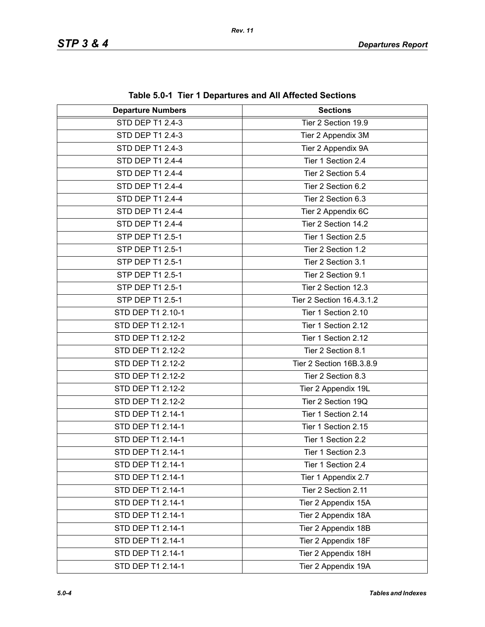| <b>Departure Numbers</b> | $\frac{1}{2}$ and $\frac{1}{2}$ . The TDepartures and All Anected Sections<br><b>Sections</b> |
|--------------------------|-----------------------------------------------------------------------------------------------|
| <b>STD DEP T1 2.4-3</b>  | Tier 2 Section 19.9                                                                           |
| STD DEP T1 2.4-3         |                                                                                               |
|                          | Tier 2 Appendix 3M                                                                            |
| STD DEP T1 2.4-3         | Tier 2 Appendix 9A                                                                            |
| STD DEP T1 2.4-4         | Tier 1 Section 2.4                                                                            |
| STD DEP T1 2.4-4         | Tier 2 Section 5.4                                                                            |
| STD DEP T1 2.4-4         | Tier 2 Section 6.2                                                                            |
| STD DEP T1 2.4-4         | Tier 2 Section 6.3                                                                            |
| STD DEP T1 2.4-4         | Tier 2 Appendix 6C                                                                            |
| STD DEP T1 2.4-4         | Tier 2 Section 14.2                                                                           |
| STP DEP T1 2.5-1         | Tier 1 Section 2.5                                                                            |
| STP DEP T1 2.5-1         | Tier 2 Section 1.2                                                                            |
| STP DEP T1 2.5-1         | Tier 2 Section 3.1                                                                            |
| STP DEP T1 2.5-1         | Tier 2 Section 9.1                                                                            |
| STP DEP T1 2.5-1         | Tier 2 Section 12.3                                                                           |
| STP DEP T1 2.5-1         | Tier 2 Section 16.4.3.1.2                                                                     |
| STD DEP T1 2.10-1        | Tier 1 Section 2.10                                                                           |
| STD DEP T1 2.12-1        | Tier 1 Section 2.12                                                                           |
| STD DEP T1 2.12-2        | Tier 1 Section 2.12                                                                           |
| STD DEP T1 2.12-2        | Tier 2 Section 8.1                                                                            |
| STD DEP T1 2.12-2        | Tier 2 Section 16B.3.8.9                                                                      |
| STD DEP T1 2.12-2        | Tier 2 Section 8.3                                                                            |
| STD DEP T1 2.12-2        | Tier 2 Appendix 19L                                                                           |
| STD DEP T1 2.12-2        | Tier 2 Section 19Q                                                                            |
| STD DEP T1 2.14-1        | Tier 1 Section 2.14                                                                           |
| STD DEP T1 2.14-1        | Tier 1 Section 2.15                                                                           |
| STD DEP T1 2.14-1        | Tier 1 Section 2.2                                                                            |
| STD DEP T1 2.14-1        | Tier 1 Section 2.3                                                                            |
| STD DEP T1 2.14-1        | Tier 1 Section 2.4                                                                            |
| STD DEP T1 2.14-1        | Tier 1 Appendix 2.7                                                                           |
| STD DEP T1 2.14-1        | Tier 2 Section 2.11                                                                           |
| STD DEP T1 2.14-1        | Tier 2 Appendix 15A                                                                           |
| STD DEP T1 2.14-1        | Tier 2 Appendix 18A                                                                           |
| STD DEP T1 2.14-1        | Tier 2 Appendix 18B                                                                           |
| STD DEP T1 2.14-1        | Tier 2 Appendix 18F                                                                           |
| STD DEP T1 2.14-1        | Tier 2 Appendix 18H                                                                           |
| STD DEP T1 2.14-1        | Tier 2 Appendix 19A                                                                           |

**Table 5.0-1 Tier 1 Departures and All Affected Sections**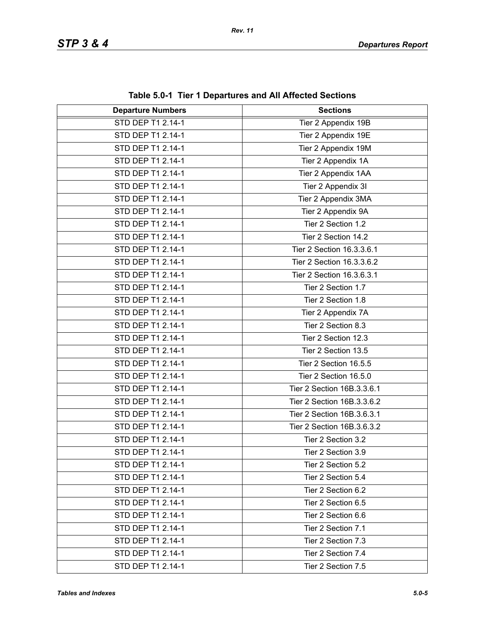| $\frac{1}{2}$ and $\frac{1}{2}$ . The TDepartures and All Anected Sections |                            |
|----------------------------------------------------------------------------|----------------------------|
| <b>Departure Numbers</b>                                                   | <b>Sections</b>            |
| STD DEP T1 2.14-1                                                          | Tier 2 Appendix 19B        |
| STD DEP T1 2.14-1                                                          | Tier 2 Appendix 19E        |
| STD DEP T1 2.14-1                                                          | Tier 2 Appendix 19M        |
| STD DEP T1 2.14-1                                                          | Tier 2 Appendix 1A         |
| STD DEP T1 2.14-1                                                          | Tier 2 Appendix 1AA        |
| STD DEP T1 2.14-1                                                          | Tier 2 Appendix 3I         |
| STD DEP T1 2.14-1                                                          | Tier 2 Appendix 3MA        |
| STD DEP T1 2.14-1                                                          | Tier 2 Appendix 9A         |
| STD DEP T1 2.14-1                                                          | Tier 2 Section 1.2         |
| STD DEP T1 2.14-1                                                          | Tier 2 Section 14.2        |
| STD DEP T1 2.14-1                                                          | Tier 2 Section 16.3.3.6.1  |
| STD DEP T1 2.14-1                                                          | Tier 2 Section 16.3.3.6.2  |
| STD DEP T1 2.14-1                                                          | Tier 2 Section 16.3.6.3.1  |
| STD DEP T1 2.14-1                                                          | Tier 2 Section 1.7         |
| STD DEP T1 2.14-1                                                          | Tier 2 Section 1.8         |
| STD DEP T1 2.14-1                                                          | Tier 2 Appendix 7A         |
| STD DEP T1 2.14-1                                                          | Tier 2 Section 8.3         |
| STD DEP T1 2.14-1                                                          | Tier 2 Section 12.3        |
| STD DEP T1 2.14-1                                                          | Tier 2 Section 13.5        |
| STD DEP T1 2.14-1                                                          | Tier 2 Section 16.5.5      |
| STD DEP T1 2.14-1                                                          | Tier 2 Section 16.5.0      |
| STD DEP T1 2.14-1                                                          | Tier 2 Section 16B.3.3.6.1 |
| STD DEP T1 2.14-1                                                          | Tier 2 Section 16B.3.3.6.2 |
| STD DEP T1 2.14-1                                                          | Tier 2 Section 16B.3.6.3.1 |
| STD DEP T1 2.14-1                                                          | Tier 2 Section 16B.3.6.3.2 |
| STD DEP T1 2.14-1                                                          | Tier 2 Section 3.2         |
| STD DEP T1 2.14-1                                                          | Tier 2 Section 3.9         |
| STD DEP T1 2.14-1                                                          | Tier 2 Section 5.2         |
| STD DEP T1 2.14-1                                                          | Tier 2 Section 5.4         |
| STD DEP T1 2.14-1                                                          | Tier 2 Section 6.2         |
| STD DEP T1 2.14-1                                                          | Tier 2 Section 6.5         |
| STD DEP T1 2.14-1                                                          | Tier 2 Section 6.6         |
| STD DEP T1 2.14-1                                                          | Tier 2 Section 7.1         |
| STD DEP T1 2.14-1                                                          | Tier 2 Section 7.3         |
| STD DEP T1 2.14-1                                                          | Tier 2 Section 7.4         |
| STD DEP T1 2.14-1                                                          | Tier 2 Section 7.5         |

**Table 5.0-1 Tier 1 Departures and All Affected Sections**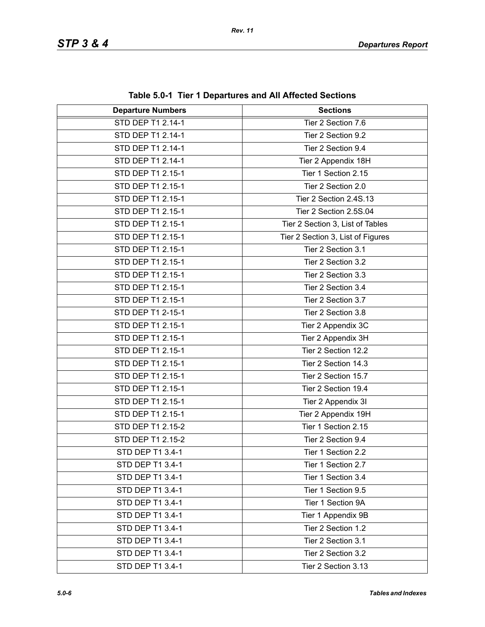| <b>Departure Numbers</b> | $1000$ v.v. The TD begin turbs and Amaphotod Occupits<br><b>Sections</b> |
|--------------------------|--------------------------------------------------------------------------|
| STD DEP T1 2.14-1        | Tier 2 Section 7.6                                                       |
| STD DEP T1 2.14-1        | Tier 2 Section 9.2                                                       |
| STD DEP T1 2.14-1        | Tier 2 Section 9.4                                                       |
| STD DEP T1 2.14-1        | Tier 2 Appendix 18H                                                      |
| STD DEP T1 2.15-1        | Tier 1 Section 2.15                                                      |
| STD DEP T1 2.15-1        | Tier 2 Section 2.0                                                       |
| STD DEP T1 2.15-1        | Tier 2 Section 2.4S.13                                                   |
| STD DEP T1 2.15-1        | Tier 2 Section 2.5S.04                                                   |
| STD DEP T1 2.15-1        | Tier 2 Section 3, List of Tables                                         |
| STD DEP T1 2.15-1        | Tier 2 Section 3, List of Figures                                        |
| STD DEP T1 2.15-1        | Tier 2 Section 3.1                                                       |
| STD DEP T1 2.15-1        | Tier 2 Section 3.2                                                       |
| STD DEP T1 2.15-1        | Tier 2 Section 3.3                                                       |
| STD DEP T1 2.15-1        | Tier 2 Section 3.4                                                       |
| STD DEP T1 2.15-1        | Tier 2 Section 3.7                                                       |
| STD DEP T1 2-15-1        | Tier 2 Section 3.8                                                       |
| STD DEP T1 2.15-1        | Tier 2 Appendix 3C                                                       |
| STD DEP T1 2.15-1        | Tier 2 Appendix 3H                                                       |
| STD DEP T1 2.15-1        | Tier 2 Section 12.2                                                      |
| STD DEP T1 2.15-1        | Tier 2 Section 14.3                                                      |
| STD DEP T1 2.15-1        | Tier 2 Section 15.7                                                      |
| STD DEP T1 2.15-1        | Tier 2 Section 19.4                                                      |
| STD DEP T1 2.15-1        | Tier 2 Appendix 3I                                                       |
| STD DEP T1 2.15-1        | Tier 2 Appendix 19H                                                      |
| STD DEP T1 2.15-2        | Tier 1 Section 2.15                                                      |
| STD DEP T1 2.15-2        | Tier 2 Section 9.4                                                       |
| STD DEP T1 3.4-1         | Tier 1 Section 2.2                                                       |
| STD DEP T1 3.4-1         | Tier 1 Section 2.7                                                       |
| STD DEP T1 3.4-1         | Tier 1 Section 3.4                                                       |
| STD DEP T1 3.4-1         | Tier 1 Section 9.5                                                       |
| STD DEP T1 3.4-1         | Tier 1 Section 9A                                                        |
| STD DEP T1 3.4-1         | Tier 1 Appendix 9B                                                       |
| STD DEP T1 3.4-1         | Tier 2 Section 1.2                                                       |
| STD DEP T1 3.4-1         | Tier 2 Section 3.1                                                       |
| STD DEP T1 3.4-1         | Tier 2 Section 3.2                                                       |
| STD DEP T1 3.4-1         | Tier 2 Section 3.13                                                      |

**Table 5.0-1 Tier 1 Departures and All Affected Sections**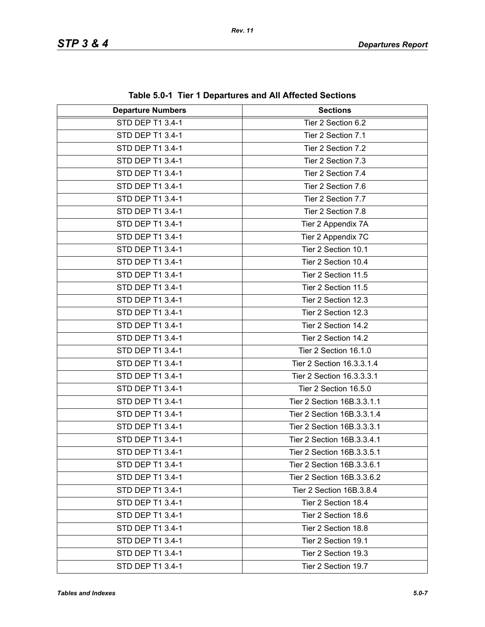| <b>Departure Numbers</b> | rable J.0-1 Tier T Departures and All Affected Occupits<br><b>Sections</b> |
|--------------------------|----------------------------------------------------------------------------|
| STD DEP T1 3.4-1         | Tier 2 Section 6.2                                                         |
| STD DEP T1 3.4-1         | Tier 2 Section 7.1                                                         |
| STD DEP T1 3.4-1         | Tier 2 Section 7.2                                                         |
| STD DEP T1 3.4-1         | Tier 2 Section 7.3                                                         |
| STD DEP T1 3.4-1         | Tier 2 Section 7.4                                                         |
| STD DEP T1 3.4-1         | Tier 2 Section 7.6                                                         |
| STD DEP T1 3.4-1         | Tier 2 Section 7.7                                                         |
| STD DEP T1 3.4-1         | Tier 2 Section 7.8                                                         |
| STD DEP T1 3.4-1         | Tier 2 Appendix 7A                                                         |
| STD DEP T1 3.4-1         | Tier 2 Appendix 7C                                                         |
| STD DEP T1 3.4-1         | Tier 2 Section 10.1                                                        |
| STD DEP T1 3.4-1         | Tier 2 Section 10.4                                                        |
| STD DEP T1 3.4-1         | Tier 2 Section 11.5                                                        |
| STD DEP T1 3.4-1         | Tier 2 Section 11.5                                                        |
| STD DEP T1 3.4-1         | Tier 2 Section 12.3                                                        |
| STD DEP T1 3.4-1         | Tier 2 Section 12.3                                                        |
| STD DEP T1 3.4-1         | Tier 2 Section 14.2                                                        |
| STD DEP T1 3.4-1         | Tier 2 Section 14.2                                                        |
| STD DEP T1 3.4-1         | Tier 2 Section 16.1.0                                                      |
| STD DEP T1 3.4-1         | Tier 2 Section 16.3.3.1.4                                                  |
| STD DEP T1 3.4-1         | Tier 2 Section 16.3.3.3.1                                                  |
| STD DEP T1 3.4-1         | Tier 2 Section 16.5.0                                                      |
| STD DEP T1 3.4-1         | Tier 2 Section 16B.3.3.1.1                                                 |
| STD DEP T1 3.4-1         | Tier 2 Section 16B.3.3.1.4                                                 |
| STD DEP T1 3.4-1         | Tier 2 Section 16B.3.3.3.1                                                 |
| STD DEP T1 3.4-1         | Tier 2 Section 16B.3.3.4.1                                                 |
| STD DEP T1 3.4-1         | Tier 2 Section 16B.3.3.5.1                                                 |
| STD DEP T1 3.4-1         | Tier 2 Section 16B.3.3.6.1                                                 |
| STD DEP T1 3.4-1         | Tier 2 Section 16B.3.3.6.2                                                 |
| STD DEP T1 3.4-1         | Tier 2 Section 16B.3.8.4                                                   |
| STD DEP T1 3.4-1         | Tier 2 Section 18.4                                                        |
| STD DEP T1 3.4-1         | Tier 2 Section 18.6                                                        |
| STD DEP T1 3.4-1         | Tier 2 Section 18.8                                                        |
| STD DEP T1 3.4-1         | Tier 2 Section 19.1                                                        |
| STD DEP T1 3.4-1         | Tier 2 Section 19.3                                                        |
| STD DEP T1 3.4-1         | Tier 2 Section 19.7                                                        |

**Table 5.0-1 Tier 1 Departures and All Affected Sections**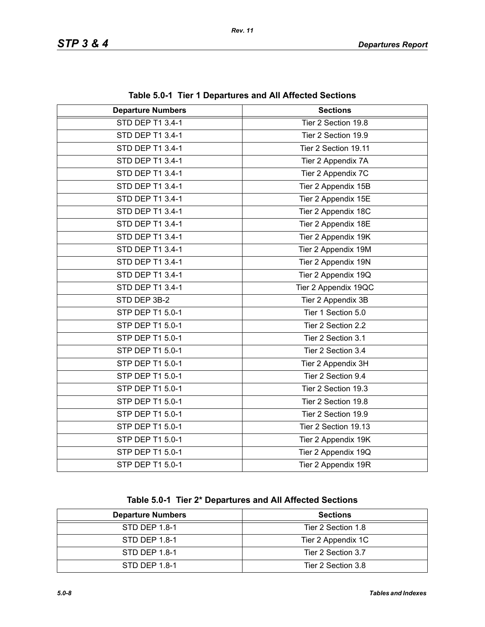| <b>Departure Numbers</b> | <b>Sections</b>      |
|--------------------------|----------------------|
| <b>STD DEP T1 3.4-1</b>  | Tier 2 Section 19.8  |
| STD DEP T1 3.4-1         | Tier 2 Section 19.9  |
| STD DEP T1 3.4-1         | Tier 2 Section 19.11 |
| STD DEP T1 3.4-1         | Tier 2 Appendix 7A   |
| STD DEP T1 3.4-1         | Tier 2 Appendix 7C   |
| STD DEP T1 3.4-1         | Tier 2 Appendix 15B  |
| STD DEP T1 3.4-1         | Tier 2 Appendix 15E  |
| STD DEP T1 3.4-1         | Tier 2 Appendix 18C  |
| STD DEP T1 3.4-1         | Tier 2 Appendix 18E  |
| STD DEP T1 3.4-1         | Tier 2 Appendix 19K  |
| STD DEP T1 3.4-1         | Tier 2 Appendix 19M  |
| STD DEP T1 3.4-1         | Tier 2 Appendix 19N  |
| STD DEP T1 3.4-1         | Tier 2 Appendix 19Q  |
| STD DEP T1 3.4-1         | Tier 2 Appendix 19QC |
| STD DEP 3B-2             | Tier 2 Appendix 3B   |
| STP DEP T1 5.0-1         | Tier 1 Section 5.0   |
| STP DEP T1 5.0-1         | Tier 2 Section 2.2   |
| STP DEP T1 5.0-1         | Tier 2 Section 3.1   |
| STP DEP T1 5.0-1         | Tier 2 Section 3.4   |
| STP DEP T1 5.0-1         | Tier 2 Appendix 3H   |
| STP DEP T1 5.0-1         | Tier 2 Section 9.4   |
| STP DEP T1 5.0-1         | Tier 2 Section 19.3  |
| STP DEP T1 5.0-1         | Tier 2 Section 19.8  |
| STP DEP T1 5.0-1         | Tier 2 Section 19.9  |
| STP DEP T1 5.0-1         | Tier 2 Section 19.13 |
| STP DEP T1 5.0-1         | Tier 2 Appendix 19K  |
| STP DEP T1 5.0-1         | Tier 2 Appendix 19Q  |
| STP DEP T1 5.0-1         | Tier 2 Appendix 19R  |

**Table 5.0-1 Tier 1 Departures and All Affected Sections**

**Table 5.0-1 Tier 2\* Departures and All Affected Sections**

| <b>Departure Numbers</b> | <b>Sections</b>    |
|--------------------------|--------------------|
| STD DEP 1.8-1            | Tier 2 Section 1.8 |
| STD DEP 1.8-1            | Tier 2 Appendix 1C |
| STD DEP 1.8-1            | Tier 2 Section 3.7 |
| STD DEP 1.8-1            | Tier 2 Section 3.8 |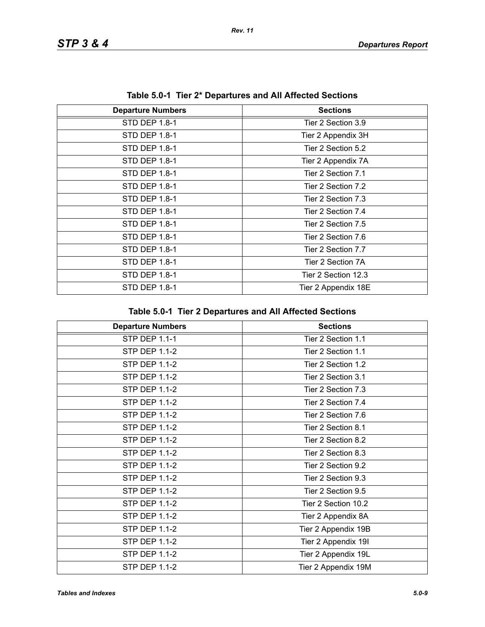| Table 0.0 <sup>-</sup> 1 Tier 2 Departures and All Anected Oections |                     |
|---------------------------------------------------------------------|---------------------|
| <b>Departure Numbers</b>                                            | <b>Sections</b>     |
| STD DEP 1.8-1                                                       | Tier 2 Section 3.9  |
| STD DEP 1.8-1                                                       | Tier 2 Appendix 3H  |
| STD DEP 1.8-1                                                       | Tier 2 Section 5.2  |
| STD DEP 1.8-1                                                       | Tier 2 Appendix 7A  |
| STD DEP 1.8-1                                                       | Tier 2 Section 7.1  |
| STD DEP 1.8-1                                                       | Tier 2 Section 7.2  |
| STD DEP 1.8-1                                                       | Tier 2 Section 7.3  |
| STD DEP 1.8-1                                                       | Tier 2 Section 7.4  |
| STD DEP 1.8-1                                                       | Tier 2 Section 7.5  |
| STD DEP 1.8-1                                                       | Tier 2 Section 7.6  |
| STD DEP 1.8-1                                                       | Tier 2 Section 7.7  |
| STD DEP 1.8-1                                                       | Tier 2 Section 7A   |
| STD DEP 1.8-1                                                       | Tier 2 Section 12.3 |
| STD DEP 1.8-1                                                       | Tier 2 Appendix 18E |

**Table 5.0-1 Tier 2\* Departures and All Affected Sections**

| <b>Departure Numbers</b> | <b>Sections</b>     |
|--------------------------|---------------------|
| <b>STP DEP 1.1-1</b>     | Tier 2 Section 1.1  |
| <b>STP DEP 1.1-2</b>     | Tier 2 Section 1.1  |
| <b>STP DEP 1.1-2</b>     | Tier 2 Section 1.2  |
| <b>STP DEP 1.1-2</b>     | Tier 2 Section 3.1  |
| STP DEP 1.1-2            | Tier 2 Section 7.3  |
| STP DEP 1.1-2            | Tier 2 Section 7.4  |
| <b>STP DEP 1.1-2</b>     | Tier 2 Section 7.6  |
| <b>STP DEP 1.1-2</b>     | Tier 2 Section 8.1  |
| <b>STP DEP 1.1-2</b>     | Tier 2 Section 8.2  |
| <b>STP DEP 1.1-2</b>     | Tier 2 Section 8.3  |
| <b>STP DEP 1.1-2</b>     | Tier 2 Section 9.2  |
| STP DEP 1.1-2            | Tier 2 Section 9.3  |
| <b>STP DEP 1.1-2</b>     | Tier 2 Section 9.5  |
| <b>STP DEP 1.1-2</b>     | Tier 2 Section 10.2 |
| STP DEP 1.1-2            | Tier 2 Appendix 8A  |
| <b>STP DEP 1.1-2</b>     | Tier 2 Appendix 19B |
| <b>STP DEP 1.1-2</b>     | Tier 2 Appendix 19I |
| <b>STP DEP 1.1-2</b>     | Tier 2 Appendix 19L |
| STP DEP 1.1-2            | Tier 2 Appendix 19M |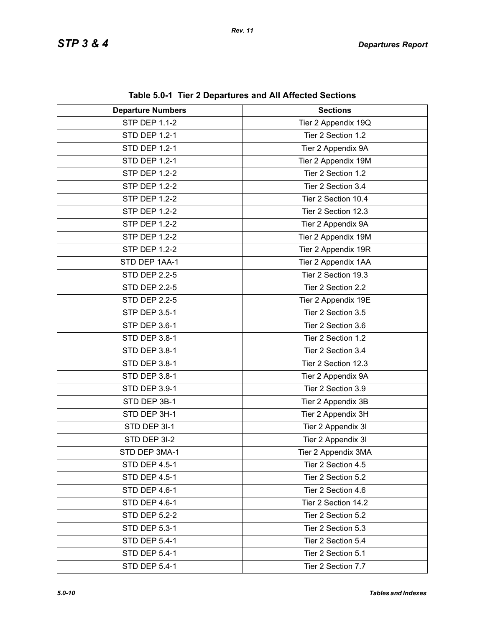| <b>Departure Numbers</b> | $\frac{1}{2}$<br><b>Sections</b> |
|--------------------------|----------------------------------|
| <b>STP DEP 1.1-2</b>     | Tier 2 Appendix 19Q              |
| <b>STD DEP 1.2-1</b>     | Tier 2 Section 1.2               |
| <b>STD DEP 1.2-1</b>     | Tier 2 Appendix 9A               |
| <b>STD DEP 1.2-1</b>     | Tier 2 Appendix 19M              |
| <b>STP DEP 1.2-2</b>     | Tier 2 Section 1.2               |
| <b>STP DEP 1.2-2</b>     | Tier 2 Section 3.4               |
| <b>STP DEP 1.2-2</b>     | Tier 2 Section 10.4              |
| <b>STP DEP 1.2-2</b>     | Tier 2 Section 12.3              |
| <b>STP DEP 1.2-2</b>     | Tier 2 Appendix 9A               |
| <b>STP DEP 1.2-2</b>     | Tier 2 Appendix 19M              |
| <b>STP DEP 1.2-2</b>     | Tier 2 Appendix 19R              |
| STD DEP 1AA-1            | Tier 2 Appendix 1AA              |
| <b>STD DEP 2.2-5</b>     | Tier 2 Section 19.3              |
| <b>STD DEP 2.2-5</b>     | Tier 2 Section 2.2               |
| <b>STD DEP 2.2-5</b>     | Tier 2 Appendix 19E              |
| <b>STP DEP 3.5-1</b>     | Tier 2 Section 3.5               |
| STP DEP 3.6-1            | Tier 2 Section 3.6               |
| STD DEP 3.8-1            | Tier 2 Section 1.2               |
| STD DEP 3.8-1            | Tier 2 Section 3.4               |
| STD DEP 3.8-1            | Tier 2 Section 12.3              |
| STD DEP 3.8-1            | Tier 2 Appendix 9A               |
| STD DEP 3.9-1            | Tier 2 Section 3.9               |
| STD DEP 3B-1             | Tier 2 Appendix 3B               |
| STD DEP 3H-1             | Tier 2 Appendix 3H               |
| STD DEP 3I-1             | Tier 2 Appendix 3I               |
| STD DEP 3I-2             | Tier 2 Appendix 3I               |
| STD DEP 3MA-1            | Tier 2 Appendix 3MA              |
| <b>STD DEP 4.5-1</b>     | Tier 2 Section 4.5               |
| STD DEP 4.5-1            | Tier 2 Section 5.2               |
| STD DEP 4.6-1            | Tier 2 Section 4.6               |
| STD DEP 4.6-1            | Tier 2 Section 14.2              |
| <b>STD DEP 5.2-2</b>     | Tier 2 Section 5.2               |
| <b>STD DEP 5.3-1</b>     | Tier 2 Section 5.3               |
| STD DEP 5.4-1            | Tier 2 Section 5.4               |
| STD DEP 5.4-1            | Tier 2 Section 5.1               |
| <b>STD DEP 5.4-1</b>     | Tier 2 Section 7.7               |

**Table 5.0-1 Tier 2 Departures and All Affected Sections**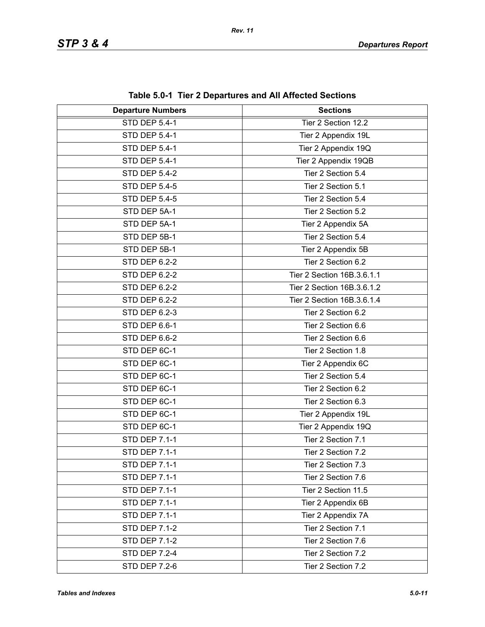| <b>Departure Numbers</b> | $\frac{1}{2}$ and $\frac{1}{2}$ increases the called HI Anceled Occupitation<br><b>Sections</b> |
|--------------------------|-------------------------------------------------------------------------------------------------|
| <b>STD DEP 5.4-1</b>     | Tier 2 Section 12.2                                                                             |
| STD DEP 5.4-1            | Tier 2 Appendix 19L                                                                             |
| STD DEP 5.4-1            | Tier 2 Appendix 19Q                                                                             |
| STD DEP 5.4-1            | Tier 2 Appendix 19QB                                                                            |
| <b>STD DEP 5.4-2</b>     | Tier 2 Section 5.4                                                                              |
| <b>STD DEP 5.4-5</b>     | Tier 2 Section 5.1                                                                              |
| <b>STD DEP 5.4-5</b>     | Tier 2 Section 5.4                                                                              |
| STD DEP 5A-1             | Tier 2 Section 5.2                                                                              |
| STD DEP 5A-1             | Tier 2 Appendix 5A                                                                              |
| STD DEP 5B-1             | Tier 2 Section 5.4                                                                              |
| STD DEP 5B-1             | Tier 2 Appendix 5B                                                                              |
| <b>STD DEP 6.2-2</b>     | Tier 2 Section 6.2                                                                              |
| <b>STD DEP 6.2-2</b>     | Tier 2 Section 16B.3.6.1.1                                                                      |
| <b>STD DEP 6.2-2</b>     | Tier 2 Section 16B.3.6.1.2                                                                      |
| <b>STD DEP 6.2-2</b>     | Tier 2 Section 16B.3.6.1.4                                                                      |
| STD DEP 6.2-3            | Tier 2 Section 6.2                                                                              |
| STD DEP 6.6-1            | Tier 2 Section 6.6                                                                              |
| STD DEP 6.6-2            | Tier 2 Section 6.6                                                                              |
| STD DEP 6C-1             | Tier 2 Section 1.8                                                                              |
| STD DEP 6C-1             | Tier 2 Appendix 6C                                                                              |
| STD DEP 6C-1             | Tier 2 Section 5.4                                                                              |
| STD DEP 6C-1             | Tier 2 Section 6.2                                                                              |
| STD DEP 6C-1             | Tier 2 Section 6.3                                                                              |
| STD DEP 6C-1             | Tier 2 Appendix 19L                                                                             |
| STD DEP 6C-1             | Tier 2 Appendix 19Q                                                                             |
| <b>STD DEP 7.1-1</b>     | Tier 2 Section 7.1                                                                              |
| STD DEP 7.1-1            | Tier 2 Section 7.2                                                                              |
| <b>STD DEP 7.1-1</b>     | Tier 2 Section 7.3                                                                              |
| <b>STD DEP 7.1-1</b>     | Tier 2 Section 7.6                                                                              |
| STD DEP 7.1-1            | Tier 2 Section 11.5                                                                             |
| <b>STD DEP 7.1-1</b>     | Tier 2 Appendix 6B                                                                              |
| <b>STD DEP 7.1-1</b>     | Tier 2 Appendix 7A                                                                              |
| <b>STD DEP 7.1-2</b>     | Tier 2 Section 7.1                                                                              |
| <b>STD DEP 7.1-2</b>     | Tier 2 Section 7.6                                                                              |
| <b>STD DEP 7.2-4</b>     | Tier 2 Section 7.2                                                                              |
| <b>STD DEP 7.2-6</b>     | Tier 2 Section 7.2                                                                              |

**Table 5.0-1 Tier 2 Departures and All Affected Sections**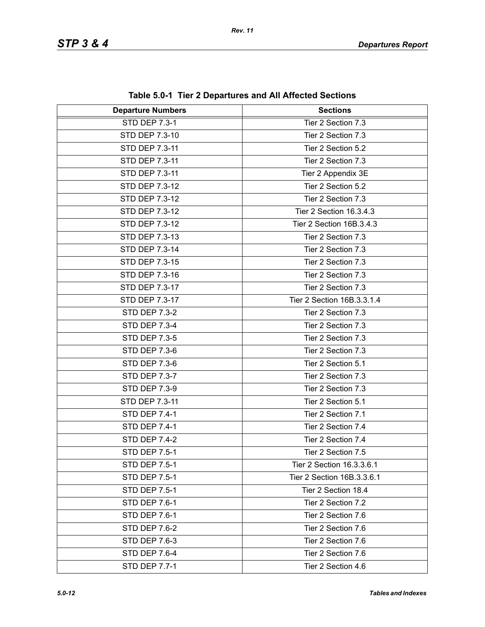| <b>Departure Numbers</b> | <b>Sections</b>            |
|--------------------------|----------------------------|
| <b>STD DEP 7.3-1</b>     | Tier 2 Section 7.3         |
| STD DEP 7.3-10           | Tier 2 Section 7.3         |
| <b>STD DEP 7.3-11</b>    | Tier 2 Section 5.2         |
| STD DEP 7.3-11           | Tier 2 Section 7.3         |
| STD DEP 7.3-11           | Tier 2 Appendix 3E         |
| STD DEP 7.3-12           | Tier 2 Section 5.2         |
| STD DEP 7.3-12           | Tier 2 Section 7.3         |
| STD DEP 7.3-12           | Tier 2 Section 16.3.4.3    |
| STD DEP 7.3-12           | Tier 2 Section 16B.3.4.3   |
| STD DEP 7.3-13           | Tier 2 Section 7.3         |
| STD DEP 7.3-14           | Tier 2 Section 7.3         |
| STD DEP 7.3-15           | Tier 2 Section 7.3         |
| STD DEP 7.3-16           | Tier 2 Section 7.3         |
| STD DEP 7.3-17           | Tier 2 Section 7.3         |
| STD DEP 7.3-17           | Tier 2 Section 16B.3.3.1.4 |
| <b>STD DEP 7.3-2</b>     | Tier 2 Section 7.3         |
| <b>STD DEP 7.3-4</b>     | Tier 2 Section 7.3         |
| <b>STD DEP 7.3-5</b>     | Tier 2 Section 7.3         |
| <b>STD DEP 7.3-6</b>     | Tier 2 Section 7.3         |
| <b>STD DEP 7.3-6</b>     | Tier 2 Section 5.1         |
| STD DEP 7.3-7            | Tier 2 Section 7.3         |
| <b>STD DEP 7.3-9</b>     | Tier 2 Section 7.3         |
| STD DEP 7.3-11           | Tier 2 Section 5.1         |
| <b>STD DEP 7.4-1</b>     | Tier 2 Section 7.1         |
| <b>STD DEP 7.4-1</b>     | Tier 2 Section 7.4         |
| <b>STD DEP 7.4-2</b>     | Tier 2 Section 7.4         |
| <b>STD DEP 7.5-1</b>     | Tier 2 Section 7.5         |
| STD DEP 7.5-1            | Tier 2 Section 16.3.3.6.1  |
| <b>STD DEP 7.5-1</b>     | Tier 2 Section 16B.3.3.6.1 |
| <b>STD DEP 7.5-1</b>     | Tier 2 Section 18.4        |
| STD DEP 7.6-1            | Tier 2 Section 7.2         |
| STD DEP 7.6-1            | Tier 2 Section 7.6         |
| STD DEP 7.6-2            | Tier 2 Section 7.6         |
| STD DEP 7.6-3            | Tier 2 Section 7.6         |
| <b>STD DEP 7.6-4</b>     | Tier 2 Section 7.6         |
| <b>STD DEP 7.7-1</b>     | Tier 2 Section 4.6         |

**Table 5.0-1 Tier 2 Departures and All Affected Sections**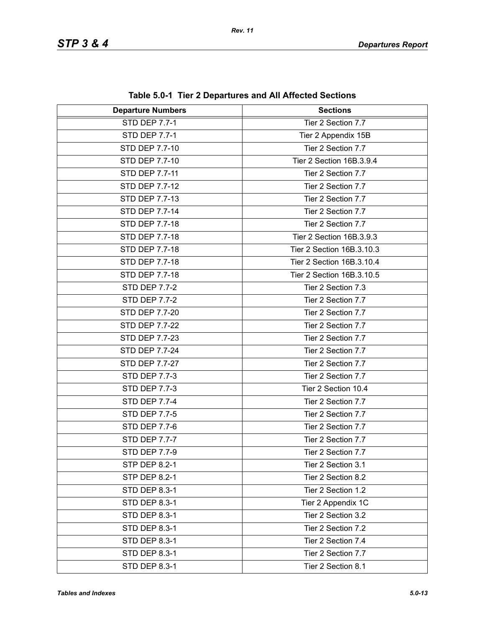| <b>Departure Numbers</b> | <b>Sections</b>           |
|--------------------------|---------------------------|
| <b>STD DEP 7.7-1</b>     | Tier 2 Section 7.7        |
| <b>STD DEP 7.7-1</b>     | Tier 2 Appendix 15B       |
| STD DEP 7.7-10           | Tier 2 Section 7.7        |
| STD DEP 7.7-10           | Tier 2 Section 16B.3.9.4  |
| STD DEP 7.7-11           | Tier 2 Section 7.7        |
| <b>STD DEP 7.7-12</b>    | Tier 2 Section 7.7        |
| STD DEP 7.7-13           | Tier 2 Section 7.7        |
| <b>STD DEP 7.7-14</b>    | Tier 2 Section 7.7        |
| STD DEP 7.7-18           | Tier 2 Section 7.7        |
| STD DEP 7.7-18           | Tier 2 Section 16B.3.9.3  |
| STD DEP 7.7-18           | Tier 2 Section 16B.3.10.3 |
| STD DEP 7.7-18           | Tier 2 Section 16B.3.10.4 |
| STD DEP 7.7-18           | Tier 2 Section 16B.3.10.5 |
| <b>STD DEP 7.7-2</b>     | Tier 2 Section 7.3        |
| STD DEP 7.7-2            | Tier 2 Section 7.7        |
| STD DEP 7.7-20           | Tier 2 Section 7.7        |
| <b>STD DEP 7.7-22</b>    | Tier 2 Section 7.7        |
| STD DEP 7.7-23           | Tier 2 Section 7.7        |
| STD DEP 7.7-24           | Tier 2 Section 7.7        |
| STD DEP 7.7-27           | Tier 2 Section 7.7        |
| STD DEP 7.7-3            | Tier 2 Section 7.7        |
| STD DEP 7.7-3            | Tier 2 Section 10.4       |
| <b>STD DEP 7.7-4</b>     | Tier 2 Section 7.7        |
| STD DEP 7.7-5            | Tier 2 Section 7.7        |
| STD DEP 7.7-6            | Tier 2 Section 7.7        |
| STD DEP 7.7-7            | Tier 2 Section 7.7        |
| STD DEP 7.7-9            | Tier 2 Section 7.7        |
| <b>STP DEP 8.2-1</b>     | Tier 2 Section 3.1        |
| <b>STP DEP 8.2-1</b>     | Tier 2 Section 8.2        |
| <b>STD DEP 8.3-1</b>     | Tier 2 Section 1.2        |
| <b>STD DEP 8.3-1</b>     | Tier 2 Appendix 1C        |
| <b>STD DEP 8.3-1</b>     | Tier 2 Section 3.2        |
| <b>STD DEP 8.3-1</b>     | Tier 2 Section 7.2        |
| <b>STD DEP 8.3-1</b>     | Tier 2 Section 7.4        |
| <b>STD DEP 8.3-1</b>     | Tier 2 Section 7.7        |
| <b>STD DEP 8.3-1</b>     | Tier 2 Section 8.1        |

**Table 5.0-1 Tier 2 Departures and All Affected Sections**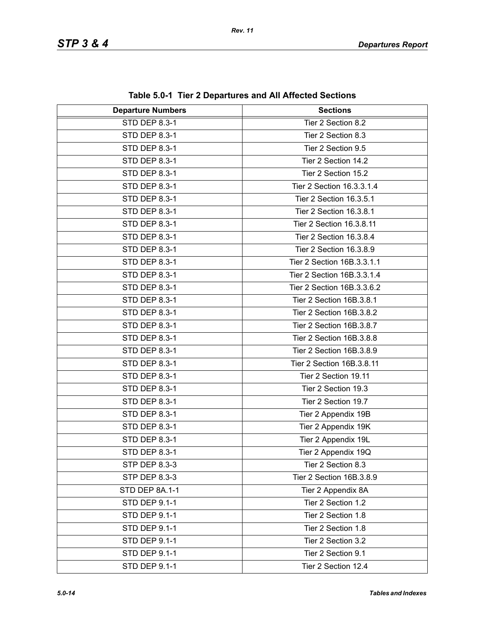| <b>Departure Numbers</b> | $\frac{1}{2}$<br><b>Sections</b> |
|--------------------------|----------------------------------|
| STD DEP 8.3-1            | Tier 2 Section 8.2               |
| STD DEP 8.3-1            | Tier 2 Section 8.3               |
| STD DEP 8.3-1            | Tier 2 Section 9.5               |
| STD DEP 8.3-1            | Tier 2 Section 14.2              |
| STD DEP 8.3-1            | Tier 2 Section 15.2              |
| STD DEP 8.3-1            | Tier 2 Section 16.3.3.1.4        |
| STD DEP 8.3-1            | Tier 2 Section 16.3.5.1          |
| STD DEP 8.3-1            | Tier 2 Section 16.3.8.1          |
| STD DEP 8.3-1            | Tier 2 Section 16.3.8.11         |
| STD DEP 8.3-1            | Tier 2 Section 16.3.8.4          |
| STD DEP 8.3-1            | Tier 2 Section 16.3.8.9          |
| STD DEP 8.3-1            | Tier 2 Section 16B.3.3.1.1       |
| STD DEP 8.3-1            | Tier 2 Section 16B.3.3.1.4       |
| STD DEP 8.3-1            | Tier 2 Section 16B.3.3.6.2       |
| STD DEP 8.3-1            | Tier 2 Section 16B.3.8.1         |
| STD DEP 8.3-1            | Tier 2 Section 16B.3.8.2         |
| STD DEP 8.3-1            | Tier 2 Section 16B.3.8.7         |
| STD DEP 8.3-1            | Tier 2 Section 16B.3.8.8         |
| STD DEP 8.3-1            | Tier 2 Section 16B.3.8.9         |
| STD DEP 8.3-1            | Tier 2 Section 16B.3.8.11        |
| STD DEP 8.3-1            | Tier 2 Section 19.11             |
|                          |                                  |
| STD DEP 8.3-1            | Tier 2 Section 19.3              |
| STD DEP 8.3-1            | Tier 2 Section 19.7              |
| STD DEP 8.3-1            | Tier 2 Appendix 19B              |
| STD DEP 8.3-1            | Tier 2 Appendix 19K              |
| STD DEP 8.3-1            | Tier 2 Appendix 19L              |
| STD DEP 8.3-1            | Tier 2 Appendix 19Q              |
| STP DEP 8.3-3            | Tier 2 Section 8.3               |
| STP DEP 8.3-3            | Tier 2 Section 16B.3.8.9         |
| STD DEP 8A.1-1           | Tier 2 Appendix 8A               |
| STD DEP 9.1-1            | Tier 2 Section 1.2               |
| STD DEP 9.1-1            | Tier 2 Section 1.8               |
| STD DEP 9.1-1            | Tier 2 Section 1.8               |
| STD DEP 9.1-1            | Tier 2 Section 3.2               |
| STD DEP 9.1-1            | Tier 2 Section 9.1               |
| STD DEP 9.1-1            | Tier 2 Section 12.4              |

**Table 5.0-1 Tier 2 Departures and All Affected Sections**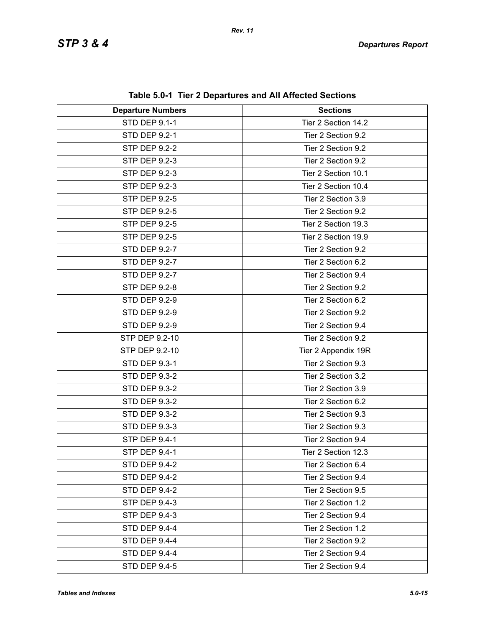| <b>Departure Numbers</b> | $\frac{1}{2}$ and $\frac{1}{2}$ increases the called HI Anceled Occupitation<br><b>Sections</b> |
|--------------------------|-------------------------------------------------------------------------------------------------|
| <b>STD DEP 9.1-1</b>     | Tier 2 Section 14.2                                                                             |
| STD DEP 9.2-1            |                                                                                                 |
|                          | Tier 2 Section 9.2                                                                              |
| <b>STP DEP 9.2-2</b>     | Tier 2 Section 9.2                                                                              |
| STP DEP 9.2-3            | Tier 2 Section 9.2                                                                              |
| STP DEP 9.2-3            | Tier 2 Section 10.1                                                                             |
| <b>STP DEP 9.2-3</b>     | Tier 2 Section 10.4                                                                             |
| STP DEP 9.2-5            | Tier 2 Section 3.9                                                                              |
| STP DEP 9.2-5            | Tier 2 Section 9.2                                                                              |
| STP DEP 9.2-5            | Tier 2 Section 19.3                                                                             |
| STP DEP 9.2-5            | Tier 2 Section 19.9                                                                             |
| STD DEP 9.2-7            | Tier 2 Section 9.2                                                                              |
| <b>STD DEP 9.2-7</b>     | Tier 2 Section 6.2                                                                              |
| <b>STD DEP 9.2-7</b>     | Tier 2 Section 9.4                                                                              |
| STP DEP 9.2-8            | Tier 2 Section 9.2                                                                              |
| <b>STD DEP 9.2-9</b>     | Tier 2 Section 6.2                                                                              |
| <b>STD DEP 9.2-9</b>     | Tier 2 Section 9.2                                                                              |
| <b>STD DEP 9.2-9</b>     | Tier 2 Section 9.4                                                                              |
| STP DEP 9.2-10           | Tier 2 Section 9.2                                                                              |
| STP DEP 9.2-10           | Tier 2 Appendix 19R                                                                             |
| STD DEP 9.3-1            | Tier 2 Section 9.3                                                                              |
| <b>STD DEP 9.3-2</b>     | Tier 2 Section 3.2                                                                              |
| <b>STD DEP 9.3-2</b>     | Tier 2 Section 3.9                                                                              |
| <b>STD DEP 9.3-2</b>     | Tier 2 Section 6.2                                                                              |
| <b>STD DEP 9.3-2</b>     | Tier 2 Section 9.3                                                                              |
| <b>STD DEP 9.3-3</b>     | Tier 2 Section 9.3                                                                              |
| STP DEP 9.4-1            | Tier 2 Section 9.4                                                                              |
| STP DEP 9.4-1            | Tier 2 Section 12.3                                                                             |
| <b>STD DEP 9.4-2</b>     | Tier 2 Section 6.4                                                                              |
| <b>STD DEP 9.4-2</b>     | Tier 2 Section 9.4                                                                              |
| <b>STD DEP 9.4-2</b>     | Tier 2 Section 9.5                                                                              |
| STP DEP 9.4-3            | Tier 2 Section 1.2                                                                              |
| STP DEP 9.4-3            | Tier 2 Section 9.4                                                                              |
| STD DEP 9.4-4            | Tier 2 Section 1.2                                                                              |
| STD DEP 9.4-4            | Tier 2 Section 9.2                                                                              |
| STD DEP 9.4-4            | Tier 2 Section 9.4                                                                              |
|                          |                                                                                                 |
| <b>STD DEP 9.4-5</b>     | Tier 2 Section 9.4                                                                              |

**Table 5.0-1 Tier 2 Departures and All Affected Sections**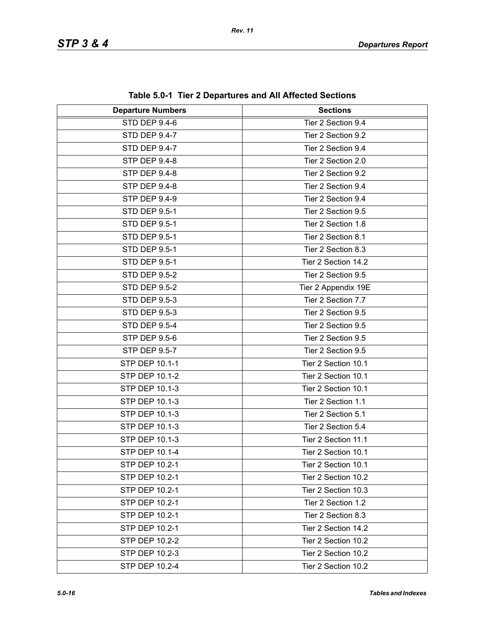| <b>Departure Numbers</b> | $1800$ vives the $\blacktriangle$ propertence and $\blacktriangle$ in $\blacktriangle$ inverted protection<br><b>Sections</b> |
|--------------------------|-------------------------------------------------------------------------------------------------------------------------------|
| STD DEP 9.4-6            | Tier 2 Section 9.4                                                                                                            |
| <b>STD DEP 9.4-7</b>     | Tier 2 Section 9.2                                                                                                            |
| STD DEP 9.4-7            | Tier 2 Section 9.4                                                                                                            |
| STP DEP 9.4-8            | Tier 2 Section 2.0                                                                                                            |
| <b>STP DEP 9.4-8</b>     | Tier 2 Section 9.2                                                                                                            |
| STP DEP 9.4-8            | Tier 2 Section 9.4                                                                                                            |
| STP DEP 9.4-9            | Tier 2 Section 9.4                                                                                                            |
| <b>STD DEP 9.5-1</b>     | Tier 2 Section 9.5                                                                                                            |
| <b>STD DEP 9.5-1</b>     | Tier 2 Section 1.8                                                                                                            |
| <b>STD DEP 9.5-1</b>     | Tier 2 Section 8.1                                                                                                            |
| <b>STD DEP 9.5-1</b>     | Tier 2 Section 8.3                                                                                                            |
| <b>STD DEP 9.5-1</b>     | Tier 2 Section 14.2                                                                                                           |
| <b>STD DEP 9.5-2</b>     | Tier 2 Section 9.5                                                                                                            |
| <b>STD DEP 9.5-2</b>     | Tier 2 Appendix 19E                                                                                                           |
| STD DEP 9.5-3            | Tier 2 Section 7.7                                                                                                            |
| STD DEP 9.5-3            | Tier 2 Section 9.5                                                                                                            |
| <b>STD DEP 9.5-4</b>     | Tier 2 Section 9.5                                                                                                            |
| STP DEP 9.5-6            | Tier 2 Section 9.5                                                                                                            |
| STP DEP 9.5-7            | Tier 2 Section 9.5                                                                                                            |
| <b>STP DEP 10.1-1</b>    | Tier 2 Section 10.1                                                                                                           |
| STP DEP 10.1-2           | Tier 2 Section 10.1                                                                                                           |
| STP DEP 10.1-3           | Tier 2 Section 10.1                                                                                                           |
| STP DEP 10.1-3           | Tier 2 Section 1.1                                                                                                            |
| STP DEP 10.1-3           | Tier 2 Section 5.1                                                                                                            |
| STP DEP 10.1-3           | Tier 2 Section 5.4                                                                                                            |
| <b>STP DEP 10.1-3</b>    | Tier 2 Section 11.1                                                                                                           |
| STP DEP 10.1-4           | Tier 2 Section 10.1                                                                                                           |
| STP DEP 10.2-1           | Tier 2 Section 10.1                                                                                                           |
| STP DEP 10.2-1           | Tier 2 Section 10.2                                                                                                           |
| STP DEP 10.2-1           | Tier 2 Section 10.3                                                                                                           |
| STP DEP 10.2-1           | Tier 2 Section 1.2                                                                                                            |
| STP DEP 10.2-1           | Tier 2 Section 8.3                                                                                                            |
| STP DEP 10.2-1           | Tier 2 Section 14.2                                                                                                           |
| STP DEP 10.2-2           | Tier 2 Section 10.2                                                                                                           |
| STP DEP 10.2-3           | Tier 2 Section 10.2                                                                                                           |
| STP DEP 10.2-4           | Tier 2 Section 10.2                                                                                                           |

**Table 5.0-1 Tier 2 Departures and All Affected Sections**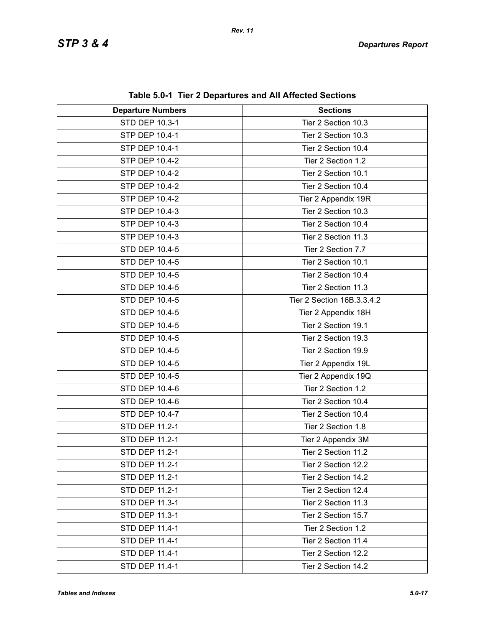| <b>Departure Numbers</b> | <b>Sections</b>            |
|--------------------------|----------------------------|
| STD DEP 10.3-1           | Tier 2 Section 10.3        |
| STP DEP 10.4-1           | Tier 2 Section 10.3        |
| STP DEP 10.4-1           | Tier 2 Section 10.4        |
| STP DEP 10.4-2           | Tier 2 Section 1.2         |
| STP DEP 10.4-2           | Tier 2 Section 10.1        |
| STP DEP 10.4-2           | Tier 2 Section 10.4        |
| STP DEP 10.4-2           | Tier 2 Appendix 19R        |
| STP DEP 10.4-3           | Tier 2 Section 10.3        |
| STP DEP 10.4-3           | Tier 2 Section 10.4        |
| STP DEP 10.4-3           | Tier 2 Section 11.3        |
| STD DEP 10.4-5           | Tier 2 Section 7.7         |
| STD DEP 10.4-5           | Tier 2 Section 10.1        |
| STD DEP 10.4-5           | Tier 2 Section 10.4        |
| STD DEP 10.4-5           | Tier 2 Section 11.3        |
| STD DEP 10.4-5           | Tier 2 Section 16B.3.3.4.2 |
| <b>STD DEP 10.4-5</b>    | Tier 2 Appendix 18H        |
| STD DEP 10.4-5           | Tier 2 Section 19.1        |
| STD DEP 10.4-5           | Tier 2 Section 19.3        |
| STD DEP 10.4-5           | Tier 2 Section 19.9        |
| STD DEP 10.4-5           | Tier 2 Appendix 19L        |
| STD DEP 10.4-5           | Tier 2 Appendix 19Q        |
| STD DEP 10.4-6           | Tier 2 Section 1.2         |
| STD DEP 10.4-6           | Tier 2 Section 10.4        |
| STD DEP 10.4-7           | Tier 2 Section 10.4        |
| STD DEP 11.2-1           | Tier 2 Section 1.8         |
| STD DEP 11.2-1           | Tier 2 Appendix 3M         |
| STD DEP 11.2-1           | Tier 2 Section 11.2        |
| STD DEP 11.2-1           | Tier 2 Section 12.2        |
| STD DEP 11.2-1           | Tier 2 Section 14.2        |
| STD DEP 11.2-1           | Tier 2 Section 12.4        |
| STD DEP 11.3-1           | Tier 2 Section 11.3        |
| STD DEP 11.3-1           | Tier 2 Section 15.7        |
| STD DEP 11.4-1           | Tier 2 Section 1.2         |
| STD DEP 11.4-1           | Tier 2 Section 11.4        |
| STD DEP 11.4-1           | Tier 2 Section 12.2        |
| STD DEP 11.4-1           | Tier 2 Section 14.2        |

**Table 5.0-1 Tier 2 Departures and All Affected Sections**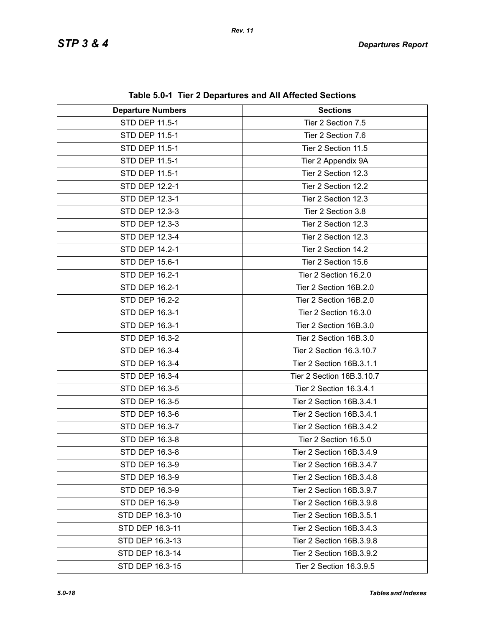| <b>Departure Numbers</b> | <b>Sections</b>           |
|--------------------------|---------------------------|
| STD DEP 11.5-1           | Tier 2 Section 7.5        |
| STD DEP 11.5-1           | Tier 2 Section 7.6        |
| STD DEP 11.5-1           | Tier 2 Section 11.5       |
| STD DEP 11.5-1           | Tier 2 Appendix 9A        |
| STD DEP 11.5-1           | Tier 2 Section 12.3       |
| STD DEP 12.2-1           | Tier 2 Section 12.2       |
| STD DEP 12.3-1           | Tier 2 Section 12.3       |
| STD DEP 12.3-3           | Tier 2 Section 3.8        |
| STD DEP 12.3-3           | Tier 2 Section 12.3       |
| STD DEP 12.3-4           | Tier 2 Section 12.3       |
| STD DEP 14.2-1           | Tier 2 Section 14.2       |
| STD DEP 15.6-1           | Tier 2 Section 15.6       |
| STD DEP 16.2-1           | Tier 2 Section 16.2.0     |
| STD DEP 16.2-1           | Tier 2 Section 16B.2.0    |
| STD DEP 16.2-2           | Tier 2 Section 16B.2.0    |
| STD DEP 16.3-1           | Tier 2 Section 16.3.0     |
| STD DEP 16.3-1           | Tier 2 Section 16B.3.0    |
| STD DEP 16.3-2           | Tier 2 Section 16B.3.0    |
| STD DEP 16.3-4           | Tier 2 Section 16.3.10.7  |
| STD DEP 16.3-4           | Tier 2 Section 16B.3.1.1  |
| STD DEP 16.3-4           | Tier 2 Section 16B.3.10.7 |
| STD DEP 16.3-5           | Tier 2 Section 16.3.4.1   |
| STD DEP 16.3-5           | Tier 2 Section 16B.3.4.1  |
| STD DEP 16.3-6           | Tier 2 Section 16B.3.4.1  |
| STD DEP 16.3-7           | Tier 2 Section 16B.3.4.2  |
| STD DEP 16.3-8           | Tier 2 Section 16.5.0     |
| STD DEP 16.3-8           | Tier 2 Section 16B.3.4.9  |
| STD DEP 16.3-9           | Tier 2 Section 16B.3.4.7  |
| STD DEP 16.3-9           | Tier 2 Section 16B.3.4.8  |
| STD DEP 16.3-9           | Tier 2 Section 16B.3.9.7  |
| STD DEP 16.3-9           | Tier 2 Section 16B.3.9.8  |
| STD DEP 16.3-10          | Tier 2 Section 16B.3.5.1  |
| STD DEP 16.3-11          | Tier 2 Section 16B.3.4.3  |
| STD DEP 16.3-13          | Tier 2 Section 16B.3.9.8  |
| STD DEP 16.3-14          | Tier 2 Section 16B.3.9.2  |
| STD DEP 16.3-15          | Tier 2 Section 16.3.9.5   |

**Table 5.0-1 Tier 2 Departures and All Affected Sections**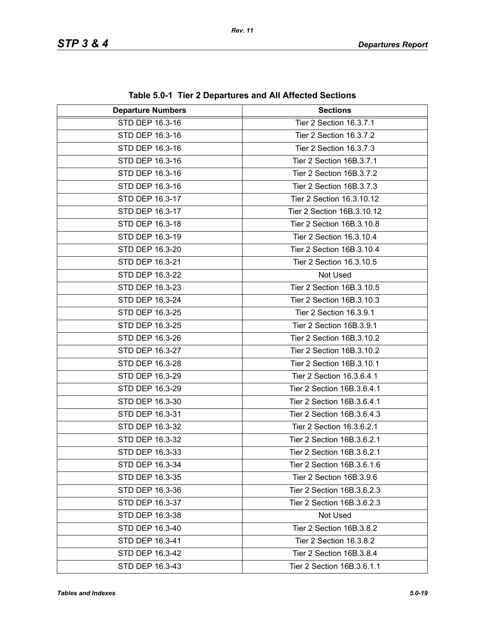| <b>Departure Numbers</b> | $1800$ vives the $\pm$ Departation and All Allocted Occilent<br><b>Sections</b> |
|--------------------------|---------------------------------------------------------------------------------|
| STD DEP 16.3-16          | Tier 2 Section 16.3.7.1                                                         |
| STD DEP 16.3-16          | Tier 2 Section 16.3.7.2                                                         |
| STD DEP 16.3-16          | Tier 2 Section 16.3.7.3                                                         |
| STD DEP 16.3-16          | Tier 2 Section 16B.3.7.1                                                        |
| STD DEP 16.3-16          | Tier 2 Section 16B.3.7.2                                                        |
| STD DEP 16.3-16          | Tier 2 Section 16B.3.7.3                                                        |
| STD DEP 16.3-17          | Tier 2 Section 16.3.10.12                                                       |
| STD DEP 16.3-17          | Tier 2 Section 16B.3.10.12                                                      |
| STD DEP 16.3-18          | Tier 2 Section 16B.3.10.8                                                       |
| STD DEP 16.3-19          | Tier 2 Section 16.3.10.4                                                        |
| STD DEP 16.3-20          | Tier 2 Section 16B.3.10.4                                                       |
| STD DEP 16.3-21          | Tier 2 Section 16.3.10.5                                                        |
| STD DEP 16.3-22          | Not Used                                                                        |
| STD DEP 16.3-23          | Tier 2 Section 16B.3.10.5                                                       |
| STD DEP 16.3-24          | Tier 2 Section 16B.3.10.3                                                       |
| STD DEP 16.3-25          | Tier 2 Section 16.3.9.1                                                         |
| STD DEP 16.3-25          | Tier 2 Section 16B.3.9.1                                                        |
| STD DEP 16.3-26          | Tier 2 Section 16B.3.10.2                                                       |
| STD DEP 16.3-27          | Tier 2 Section 16B.3.10.2                                                       |
| STD DEP 16.3-28          | Tier 2 Section 16B.3.10.1                                                       |
| STD DEP 16.3-29          | Tier 2 Section 16.3.6.4.1                                                       |
| STD DEP 16.3-29          | Tier 2 Section 16B.3.6.4.1                                                      |
| STD DEP 16.3-30          | Tier 2 Section 16B.3.6.4.1                                                      |
| STD DEP 16.3-31          | Tier 2 Section 16B.3.6.4.3                                                      |
| STD DEP 16.3-32          | Tier 2 Section 16.3.6.2.1                                                       |
| STD DEP 16.3-32          | Tier 2 Section 16B.3.6.2.1                                                      |
| STD DEP 16.3-33          | Tier 2 Section 16B.3.6.2.1                                                      |
| STD DEP 16.3-34          | Tier 2 Section 16B.3.6.1.6                                                      |
| STD DEP 16.3-35          | Tier 2 Section 16B.3.9.6                                                        |
| STD DEP 16.3-36          | Tier 2 Section 16B.3.6.2.3                                                      |
| STD DEP 16.3-37          | Tier 2 Section 16B.3.6.2.3                                                      |
| STD DEP 16.3-38          | Not Used                                                                        |
| STD DEP 16.3-40          | Tier 2 Section 16B.3.8.2                                                        |
| STD DEP 16.3-41          | Tier 2 Section 16.3.8.2                                                         |
| STD DEP 16.3-42          | Tier 2 Section 16B.3.8.4                                                        |
| STD DEP 16.3-43          | Tier 2 Section 16B.3.6.1.1                                                      |

**Table 5.0-1 Tier 2 Departures and All Affected Sections**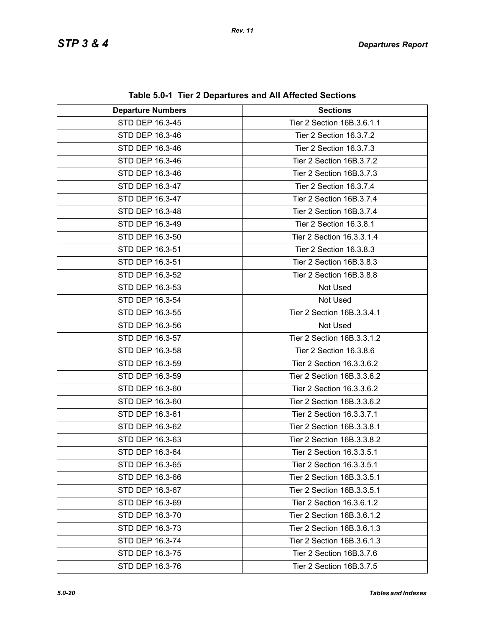| <b>Departure Numbers</b> | <b>Sections</b>            |
|--------------------------|----------------------------|
| STD DEP 16.3-45          | Tier 2 Section 16B.3.6.1.1 |
| STD DEP 16.3-46          | Tier 2 Section 16.3.7.2    |
| STD DEP 16.3-46          | Tier 2 Section 16.3.7.3    |
| STD DEP 16.3-46          | Tier 2 Section 16B.3.7.2   |
| STD DEP 16.3-46          | Tier 2 Section 16B.3.7.3   |
| STD DEP 16.3-47          | Tier 2 Section 16.3.7.4    |
| STD DEP 16.3-47          | Tier 2 Section 16B.3.7.4   |
| STD DEP 16.3-48          | Tier 2 Section 16B.3.7.4   |
| STD DEP 16.3-49          | Tier 2 Section 16.3.8.1    |
| STD DEP 16.3-50          | Tier 2 Section 16.3.3.1.4  |
| STD DEP 16.3-51          | Tier 2 Section 16.3.8.3    |
| STD DEP 16.3-51          | Tier 2 Section 16B.3.8.3   |
| STD DEP 16.3-52          | Tier 2 Section 16B.3.8.8   |
| STD DEP 16.3-53          | Not Used                   |
| STD DEP 16.3-54          | Not Used                   |
| STD DEP 16.3-55          | Tier 2 Section 16B.3.3.4.1 |
| STD DEP 16.3-56          | Not Used                   |
| STD DEP 16.3-57          | Tier 2 Section 16B.3.3.1.2 |
| STD DEP 16.3-58          | Tier 2 Section 16.3.8.6    |
| STD DEP 16.3-59          | Tier 2 Section 16.3.3.6.2  |
| STD DEP 16.3-59          | Tier 2 Section 16B.3.3.6.2 |
| STD DEP 16.3-60          | Tier 2 Section 16.3.3.6.2  |
| STD DEP 16.3-60          | Tier 2 Section 16B.3.3.6.2 |
| STD DEP 16.3-61          | Tier 2 Section 16.3.3.7.1  |
| STD DEP 16.3-62          | Tier 2 Section 16B.3.3.8.1 |
| STD DEP 16.3-63          | Tier 2 Section 16B.3.3.8.2 |
| STD DEP 16.3-64          | Tier 2 Section 16.3.3.5.1  |
| STD DEP 16.3-65          | Tier 2 Section 16.3.3.5.1  |
| STD DEP 16.3-66          | Tier 2 Section 16B.3.3.5.1 |
| STD DEP 16.3-67          | Tier 2 Section 16B.3.3.5.1 |
| STD DEP 16.3-69          | Tier 2 Section 16.3.6.1.2  |
| STD DEP 16.3-70          | Tier 2 Section 16B.3.6.1.2 |
| STD DEP 16.3-73          | Tier 2 Section 16B.3.6.1.3 |
| STD DEP 16.3-74          | Tier 2 Section 16B.3.6.1.3 |
| STD DEP 16.3-75          | Tier 2 Section 16B.3.7.6   |
| STD DEP 16.3-76          | Tier 2 Section 16B.3.7.5   |

**Table 5.0-1 Tier 2 Departures and All Affected Sections**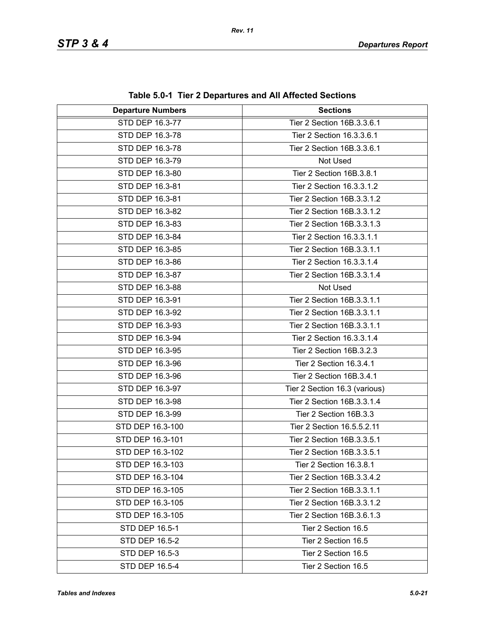| <b>Departure Numbers</b> | <b>Sections</b>               |
|--------------------------|-------------------------------|
| STD DEP 16.3-77          | Tier 2 Section 16B.3.3.6.1    |
| STD DEP 16.3-78          | Tier 2 Section 16.3.3.6.1     |
| STD DEP 16.3-78          | Tier 2 Section 16B.3.3.6.1    |
| STD DEP 16.3-79          | Not Used                      |
| STD DEP 16.3-80          | Tier 2 Section 16B.3.8.1      |
| STD DEP 16.3-81          | Tier 2 Section 16.3.3.1.2     |
| STD DEP 16.3-81          | Tier 2 Section 16B.3.3.1.2    |
| STD DEP 16.3-82          | Tier 2 Section 16B.3.3.1.2    |
| STD DEP 16.3-83          | Tier 2 Section 16B.3.3.1.3    |
| STD DEP 16.3-84          | Tier 2 Section 16.3.3.1.1     |
| STD DEP 16.3-85          | Tier 2 Section 16B.3.3.1.1    |
| STD DEP 16.3-86          | Tier 2 Section 16.3.3.1.4     |
| STD DEP 16.3-87          | Tier 2 Section 16B.3.3.1.4    |
| STD DEP 16.3-88          | Not Used                      |
| STD DEP 16.3-91          | Tier 2 Section 16B.3.3.1.1    |
| STD DEP 16.3-92          | Tier 2 Section 16B.3.3.1.1    |
| STD DEP 16.3-93          | Tier 2 Section 16B.3.3.1.1    |
| STD DEP 16.3-94          | Tier 2 Section 16.3.3.1.4     |
| STD DEP 16.3-95          | Tier 2 Section 16B.3.2.3      |
| STD DEP 16.3-96          | Tier 2 Section 16.3.4.1       |
| STD DEP 16.3-96          | Tier 2 Section 16B.3.4.1      |
| STD DEP 16.3-97          | Tier 2 Section 16.3 (various) |
| STD DEP 16.3-98          | Tier 2 Section 16B.3.3.1.4    |
| STD DEP 16.3-99          | Tier 2 Section 16B.3.3        |
| STD DEP 16.3-100         | Tier 2 Section 16.5.5.2.11    |
| STD DEP 16.3-101         | Tier 2 Section 16B.3.3.5.1    |
| STD DEP 16.3-102         | Tier 2 Section 16B.3.3.5.1    |
| STD DEP 16.3-103         | Tier 2 Section 16.3.8.1       |
| STD DEP 16.3-104         | Tier 2 Section 16B.3.3.4.2    |
| STD DEP 16.3-105         | Tier 2 Section 16B.3.3.1.1    |
| STD DEP 16.3-105         | Tier 2 Section 16B.3.3.1.2    |
| STD DEP 16.3-105         | Tier 2 Section 16B.3.6.1.3    |
| STD DEP 16.5-1           | Tier 2 Section 16.5           |
| <b>STD DEP 16.5-2</b>    | Tier 2 Section 16.5           |
| STD DEP 16.5-3           | Tier 2 Section 16.5           |
| STD DEP 16.5-4           | Tier 2 Section 16.5           |

**Table 5.0-1 Tier 2 Departures and All Affected Sections**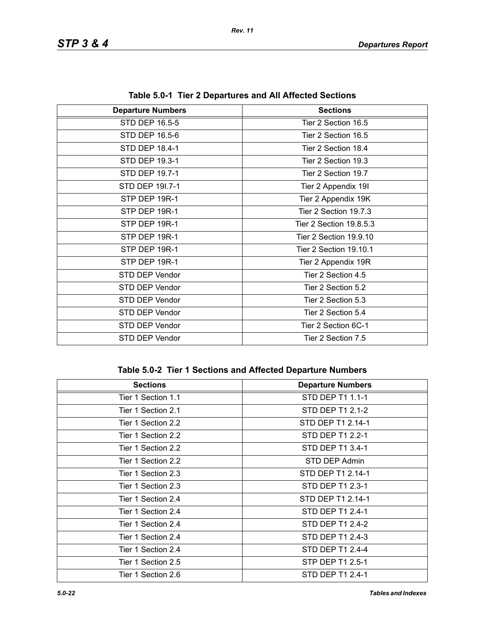| <b>Departure Numbers</b> | <b>Sections</b>         |
|--------------------------|-------------------------|
| STD DEP 16.5-5           | Tier 2 Section 16.5     |
| STD DEP 16.5-6           | Tier 2 Section 16.5     |
| STD DEP 18.4-1           | Tier 2 Section 18.4     |
| STD DEP 19.3-1           | Tier 2 Section 19.3     |
| STD DEP 19.7-1           | Tier 2 Section 19.7     |
| STD DEP 191.7-1          | Tier 2 Appendix 19I     |
| STP DEP 19R-1            | Tier 2 Appendix 19K     |
| STP DEP 19R-1            | Tier 2 Section 19.7.3   |
| STP DEP 19R-1            | Tier 2 Section 19.8.5.3 |
| STP DEP 19R-1            | Tier 2 Section 19.9.10  |
| STP DEP 19R-1            | Tier 2 Section 19.10.1  |
| STP DEP 19R-1            | Tier 2 Appendix 19R     |
| STD DEP Vendor           | Tier 2 Section 4.5      |
| STD DEP Vendor           | Tier 2 Section 5.2      |
| STD DEP Vendor           | Tier 2 Section 5.3      |
| STD DEP Vendor           | Tier 2 Section 5.4      |
| STD DEP Vendor           | Tier 2 Section 6C-1     |
| STD DEP Vendor           | Tier 2 Section 7.5      |

**Table 5.0-1 Tier 2 Departures and All Affected Sections**

## **Table 5.0-2 Tier 1 Sections and Affected Departure Numbers**

| <b>Sections</b>    | <b>Departure Numbers</b> |
|--------------------|--------------------------|
| Tier 1 Section 1.1 | STD DEP T1 1.1-1         |
| Tier 1 Section 2.1 | STD DEP T1 2.1-2         |
| Tier 1 Section 2.2 | STD DEP T1 2.14-1        |
| Tier 1 Section 2.2 | STD DEP T1 2.2-1         |
| Tier 1 Section 2.2 | STD DEP T1 3.4-1         |
| Tier 1 Section 2.2 | STD DEP Admin            |
| Tier 1 Section 2.3 | STD DEP T1 2.14-1        |
| Tier 1 Section 2.3 | STD DEP T1 2.3-1         |
| Tier 1 Section 2.4 | STD DEP T1 2.14-1        |
| Tier 1 Section 2.4 | STD DEP T1 2.4-1         |
| Tier 1 Section 2.4 | STD DEP T1 2.4-2         |
| Tier 1 Section 2.4 | STD DEP T1 2.4-3         |
| Tier 1 Section 2.4 | STD DEP T1 2.4-4         |
| Tier 1 Section 2.5 | STP DEP T1 2.5-1         |
| Tier 1 Section 2.6 | STD DEP T1 2.4-1         |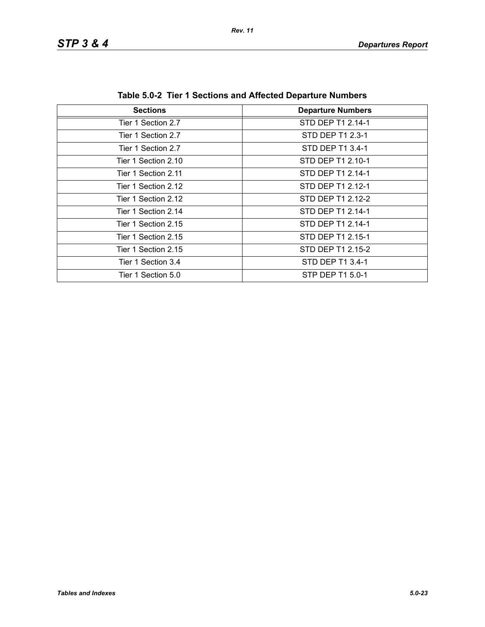| <b>Sections</b>     | <b>Departure Numbers</b> |  |
|---------------------|--------------------------|--|
| Tier 1 Section 2.7  | STD DEP T1 2.14-1        |  |
| Tier 1 Section 2.7  | STD DEP T1 2.3-1         |  |
| Tier 1 Section 2.7  | STD DEP T1 3.4-1         |  |
| Tier 1 Section 2.10 | STD DEP T1 2.10-1        |  |
| Tier 1 Section 2.11 | STD DEP T1 2.14-1        |  |
| Tier 1 Section 2.12 | STD DEP T1 2.12-1        |  |
| Tier 1 Section 2.12 | STD DEP T1 2.12-2        |  |
| Tier 1 Section 2.14 | STD DEP T1 2.14-1        |  |
| Tier 1 Section 2.15 | STD DEP T1 2.14-1        |  |
| Tier 1 Section 2.15 | STD DEP T1 2.15-1        |  |
| Tier 1 Section 2.15 | STD DEP T1 2.15-2        |  |
| Tier 1 Section 3.4  | STD DEP T1 3.4-1         |  |
| Tier 1 Section 5.0  | STP DEP T1 5.0-1         |  |

**Table 5.0-2 Tier 1 Sections and Affected Departure Numbers**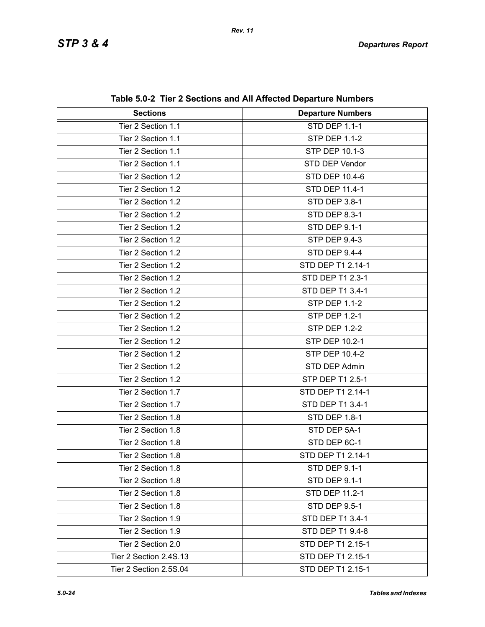| <b>Sections</b>        | <b>Departure Numbers</b> |
|------------------------|--------------------------|
| Tier 2 Section 1.1     | <b>STD DEP 1.1-1</b>     |
| Tier 2 Section 1.1     | <b>STP DEP 1.1-2</b>     |
| Tier 2 Section 1.1     | <b>STP DEP 10.1-3</b>    |
| Tier 2 Section 1.1     | STD DEP Vendor           |
| Tier 2 Section 1.2     | STD DEP 10.4-6           |
| Tier 2 Section 1.2     | <b>STD DEP 11.4-1</b>    |
| Tier 2 Section 1.2     | STD DEP 3.8-1            |
| Tier 2 Section 1.2     | <b>STD DEP 8.3-1</b>     |
| Tier 2 Section 1.2     | <b>STD DEP 9.1-1</b>     |
| Tier 2 Section 1.2     | <b>STP DEP 9.4-3</b>     |
| Tier 2 Section 1.2     | STD DEP 9.4-4            |
| Tier 2 Section 1.2     | STD DEP T1 2.14-1        |
| Tier 2 Section 1.2     | STD DEP T1 2.3-1         |
| Tier 2 Section 1.2     | STD DEP T1 3.4-1         |
| Tier 2 Section 1.2     | <b>STP DEP 1.1-2</b>     |
| Tier 2 Section 1.2     | <b>STP DEP 1.2-1</b>     |
| Tier 2 Section 1.2     | <b>STP DEP 1.2-2</b>     |
| Tier 2 Section 1.2     | STP DEP 10.2-1           |
| Tier 2 Section 1.2     | <b>STP DEP 10.4-2</b>    |
| Tier 2 Section 1.2     | STD DEP Admin            |
| Tier 2 Section 1.2     | STP DEP T1 2.5-1         |
| Tier 2 Section 1.7     | STD DEP T1 2.14-1        |
| Tier 2 Section 1.7     | STD DEP T1 3.4-1         |
| Tier 2 Section 1.8     | <b>STD DEP 1.8-1</b>     |
| Tier 2 Section 1.8     | STD DEP 5A-1             |
| Tier 2 Section 1.8     | STD DEP 6C-1             |
| Tier 2 Section 1.8     | STD DEP T1 2.14-1        |
| Tier 2 Section 1.8     | STD DEP 9.1-1            |
| Tier 2 Section 1.8     | <b>STD DEP 9.1-1</b>     |
| Tier 2 Section 1.8     | <b>STD DEP 11.2-1</b>    |
| Tier 2 Section 1.8     | <b>STD DEP 9.5-1</b>     |
| Tier 2 Section 1.9     | STD DEP T1 3.4-1         |
| Tier 2 Section 1.9     | STD DEP T1 9.4-8         |
| Tier 2 Section 2.0     | STD DEP T1 2.15-1        |
| Tier 2 Section 2.4S.13 | STD DEP T1 2.15-1        |
| Tier 2 Section 2.5S.04 | STD DEP T1 2.15-1        |

**Table 5.0-2 Tier 2 Sections and All Affected Departure Numbers**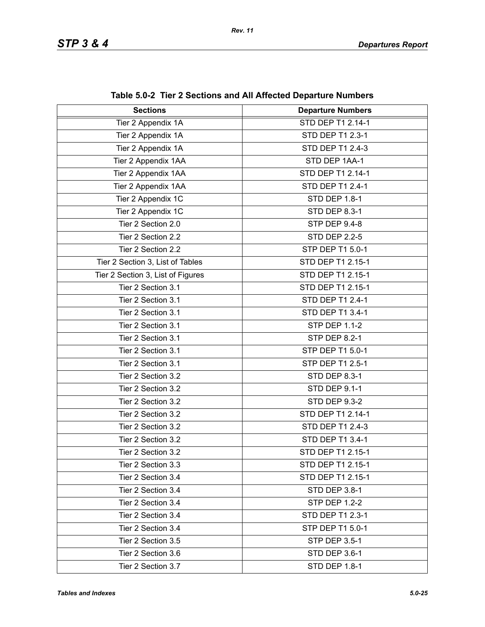| <b>Sections</b>                   | <b>Departure Numbers</b> |
|-----------------------------------|--------------------------|
| Tier 2 Appendix 1A                | STD DEP T1 2.14-1        |
| Tier 2 Appendix 1A                | STD DEP T1 2.3-1         |
| Tier 2 Appendix 1A                | STD DEP T1 2.4-3         |
| Tier 2 Appendix 1AA               | STD DEP 1AA-1            |
| Tier 2 Appendix 1AA               | STD DEP T1 2.14-1        |
| Tier 2 Appendix 1AA               | STD DEP T1 2.4-1         |
| Tier 2 Appendix 1C                | STD DEP 1.8-1            |
| Tier 2 Appendix 1C                | STD DEP 8.3-1            |
| Tier 2 Section 2.0                | STP DEP 9.4-8            |
| Tier 2 Section 2.2                | <b>STD DEP 2.2-5</b>     |
| Tier 2 Section 2.2                | STP DEP T1 5.0-1         |
| Tier 2 Section 3, List of Tables  | STD DEP T1 2.15-1        |
| Tier 2 Section 3, List of Figures | STD DEP T1 2.15-1        |
| Tier 2 Section 3.1                | STD DEP T1 2.15-1        |
| Tier 2 Section 3.1                | STD DEP T1 2.4-1         |
| Tier 2 Section 3.1                | STD DEP T1 3.4-1         |
| Tier 2 Section 3.1                | <b>STP DEP 1.1-2</b>     |
| Tier 2 Section 3.1                | <b>STP DEP 8.2-1</b>     |
| Tier 2 Section 3.1                | STP DEP T1 5.0-1         |
| Tier 2 Section 3.1                | STP DEP T1 2.5-1         |
| Tier 2 Section 3.2                | STD DEP 8.3-1            |
| Tier 2 Section 3.2                | STD DEP 9.1-1            |
| Tier 2 Section 3.2                | <b>STD DEP 9.3-2</b>     |
| Tier 2 Section 3.2                | STD DEP T1 2.14-1        |
| Tier 2 Section 3.2                | STD DEP T1 2.4-3         |
| Tier 2 Section 3.2                | STD DEP T1 3.4-1         |
| Tier 2 Section 3.2                | STD DEP T1 2.15-1        |
| Tier 2 Section 3.3                | STD DEP T1 2.15-1        |
| Tier 2 Section 3.4                | STD DEP T1 2.15-1        |
| Tier 2 Section 3.4                | STD DEP 3.8-1            |
| Tier 2 Section 3.4                | <b>STP DEP 1.2-2</b>     |
| Tier 2 Section 3.4                | STD DEP T1 2.3-1         |
| Tier 2 Section 3.4                | STP DEP T1 5.0-1         |
| Tier 2 Section 3.5                | <b>STP DEP 3.5-1</b>     |
| Tier 2 Section 3.6                | STD DEP 3.6-1            |
| Tier 2 Section 3.7                | <b>STD DEP 1.8-1</b>     |

**Table 5.0-2 Tier 2 Sections and All Affected Departure Numbers**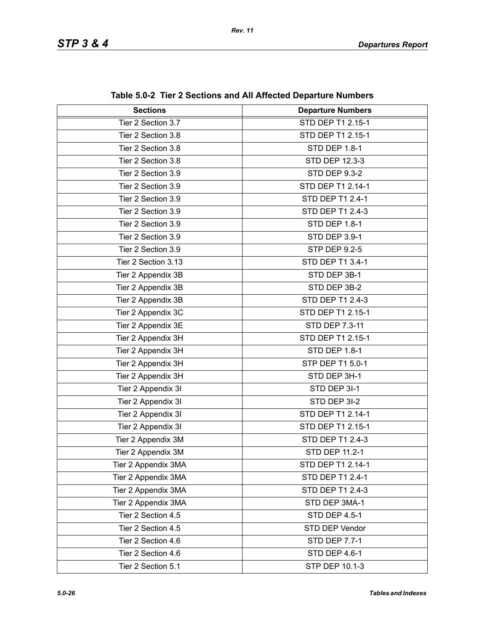| <b>Sections</b>     | <b>Departure Numbers</b> |
|---------------------|--------------------------|
| Tier 2 Section 3.7  | STD DEP T1 2.15-1        |
| Tier 2 Section 3.8  | STD DEP T1 2.15-1        |
| Tier 2 Section 3.8  | STD DEP 1.8-1            |
| Tier 2 Section 3.8  | STD DEP 12.3-3           |
| Tier 2 Section 3.9  | <b>STD DEP 9.3-2</b>     |
| Tier 2 Section 3.9  | STD DEP T1 2.14-1        |
| Tier 2 Section 3.9  | STD DEP T1 2.4-1         |
| Tier 2 Section 3.9  | STD DEP T1 2.4-3         |
| Tier 2 Section 3.9  | <b>STD DEP 1.8-1</b>     |
| Tier 2 Section 3.9  | STD DEP 3.9-1            |
| Tier 2 Section 3.9  | <b>STP DEP 9.2-5</b>     |
| Tier 2 Section 3.13 | STD DEP T1 3.4-1         |
| Tier 2 Appendix 3B  | STD DEP 3B-1             |
| Tier 2 Appendix 3B  | STD DEP 3B-2             |
| Tier 2 Appendix 3B  | STD DEP T1 2.4-3         |
| Tier 2 Appendix 3C  | STD DEP T1 2.15-1        |
| Tier 2 Appendix 3E  | STD DEP 7.3-11           |
| Tier 2 Appendix 3H  | STD DEP T1 2.15-1        |
| Tier 2 Appendix 3H  | STD DEP 1.8-1            |
| Tier 2 Appendix 3H  | STP DEP T1 5.0-1         |
| Tier 2 Appendix 3H  | STD DEP 3H-1             |
| Tier 2 Appendix 3I  | STD DEP 3I-1             |
| Tier 2 Appendix 3I  | STD DEP 3I-2             |
| Tier 2 Appendix 3I  | STD DEP T1 2.14-1        |
| Tier 2 Appendix 3I  | STD DEP T1 2.15-1        |
| Tier 2 Appendix 3M  | STD DEP T1 2.4-3         |
| Tier 2 Appendix 3M  | STD DEP 11.2-1           |
| Tier 2 Appendix 3MA | STD DEP T1 2.14-1        |
| Tier 2 Appendix 3MA | STD DEP T1 2.4-1         |
| Tier 2 Appendix 3MA | STD DEP T1 2.4-3         |
| Tier 2 Appendix 3MA | STD DEP 3MA-1            |
| Tier 2 Section 4.5  | <b>STD DEP 4.5-1</b>     |
| Tier 2 Section 4.5  | STD DEP Vendor           |
| Tier 2 Section 4.6  | <b>STD DEP 7.7-1</b>     |
| Tier 2 Section 4.6  | STD DEP 4.6-1            |
| Tier 2 Section 5.1  | STP DEP 10.1-3           |

**Table 5.0-2 Tier 2 Sections and All Affected Departure Numbers**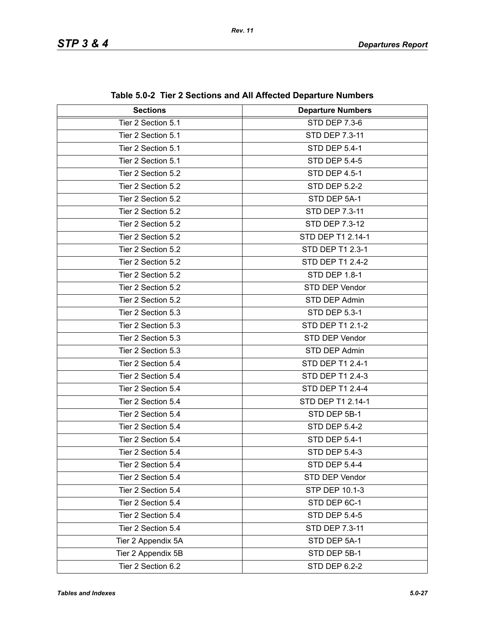| <b>Sections</b>    | <b>Departure Numbers</b> |
|--------------------|--------------------------|
| Tier 2 Section 5.1 | <b>STD DEP 7.3-6</b>     |
| Tier 2 Section 5.1 | STD DEP 7.3-11           |
| Tier 2 Section 5.1 | <b>STD DEP 5.4-1</b>     |
| Tier 2 Section 5.1 | <b>STD DEP 5.4-5</b>     |
| Tier 2 Section 5.2 | STD DEP 4.5-1            |
| Tier 2 Section 5.2 | <b>STD DEP 5.2-2</b>     |
| Tier 2 Section 5.2 | STD DEP 5A-1             |
| Tier 2 Section 5.2 | STD DEP 7.3-11           |
| Tier 2 Section 5.2 | STD DEP 7.3-12           |
| Tier 2 Section 5.2 | STD DEP T1 2.14-1        |
| Tier 2 Section 5.2 | STD DEP T1 2.3-1         |
| Tier 2 Section 5.2 | STD DEP T1 2.4-2         |
| Tier 2 Section 5.2 | <b>STD DEP 1.8-1</b>     |
| Tier 2 Section 5.2 | STD DEP Vendor           |
| Tier 2 Section 5.2 | STD DEP Admin            |
| Tier 2 Section 5.3 | <b>STD DEP 5.3-1</b>     |
| Tier 2 Section 5.3 | STD DEP T1 2.1-2         |
| Tier 2 Section 5.3 | STD DEP Vendor           |
| Tier 2 Section 5.3 | STD DEP Admin            |
| Tier 2 Section 5.4 | STD DEP T1 2.4-1         |
| Tier 2 Section 5.4 | STD DEP T1 2.4-3         |
| Tier 2 Section 5.4 | STD DEP T1 2.4-4         |
| Tier 2 Section 5.4 | STD DEP T1 2.14-1        |
| Tier 2 Section 5.4 | STD DEP 5B-1             |
| Tier 2 Section 5.4 | <b>STD DEP 5.4-2</b>     |
| Tier 2 Section 5.4 | <b>STD DEP 5.4-1</b>     |
| Tier 2 Section 5.4 | <b>STD DEP 5.4-3</b>     |
| Tier 2 Section 5.4 | STD DEP 5.4-4            |
| Tier 2 Section 5.4 | STD DEP Vendor           |
| Tier 2 Section 5.4 | STP DEP 10.1-3           |
| Tier 2 Section 5.4 | STD DEP 6C-1             |
| Tier 2 Section 5.4 | <b>STD DEP 5.4-5</b>     |
| Tier 2 Section 5.4 | STD DEP 7.3-11           |
| Tier 2 Appendix 5A | STD DEP 5A-1             |
| Tier 2 Appendix 5B | STD DEP 5B-1             |
| Tier 2 Section 6.2 | STD DEP 6.2-2            |

**Table 5.0-2 Tier 2 Sections and All Affected Departure Numbers**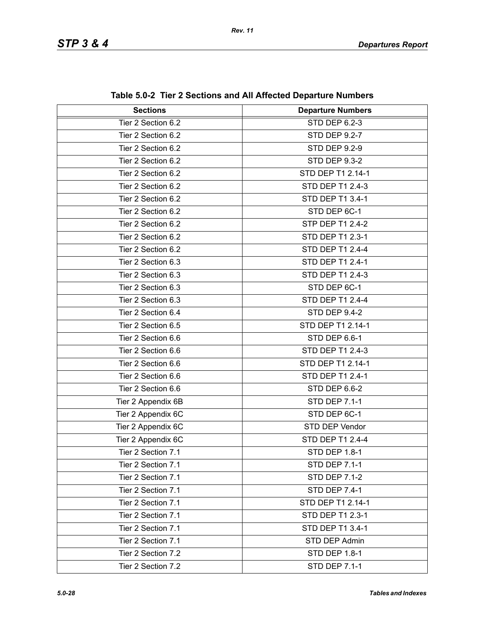| <b>Sections</b>    | <b>Departure Numbers</b> |
|--------------------|--------------------------|
| Tier 2 Section 6.2 | <b>STD DEP 6.2-3</b>     |
| Tier 2 Section 6.2 | <b>STD DEP 9.2-7</b>     |
| Tier 2 Section 6.2 | <b>STD DEP 9.2-9</b>     |
| Tier 2 Section 6.2 | <b>STD DEP 9.3-2</b>     |
| Tier 2 Section 6.2 | STD DEP T1 2.14-1        |
| Tier 2 Section 6.2 | <b>STD DEP T1 2.4-3</b>  |
| Tier 2 Section 6.2 | STD DEP T1 3.4-1         |
| Tier 2 Section 6.2 | STD DEP 6C-1             |
| Tier 2 Section 6.2 | STP DEP T1 2.4-2         |
| Tier 2 Section 6.2 | STD DEP T1 2.3-1         |
| Tier 2 Section 6.2 | <b>STD DEP T1 2.4-4</b>  |
| Tier 2 Section 6.3 | STD DEP T1 2.4-1         |
| Tier 2 Section 6.3 | STD DEP T1 2.4-3         |
| Tier 2 Section 6.3 | STD DEP 6C-1             |
| Tier 2 Section 6.3 | <b>STD DEP T1 2.4-4</b>  |
| Tier 2 Section 6.4 | STD DEP 9.4-2            |
| Tier 2 Section 6.5 | STD DEP T1 2.14-1        |
| Tier 2 Section 6.6 | STD DEP 6.6-1            |
| Tier 2 Section 6.6 | STD DEP T1 2.4-3         |
| Tier 2 Section 6.6 | STD DEP T1 2.14-1        |
| Tier 2 Section 6.6 | STD DEP T1 2.4-1         |
| Tier 2 Section 6.6 | STD DEP 6.6-2            |
| Tier 2 Appendix 6B | <b>STD DEP 7.1-1</b>     |
| Tier 2 Appendix 6C | STD DEP 6C-1             |
| Tier 2 Appendix 6C | STD DEP Vendor           |
| Tier 2 Appendix 6C | <b>STD DEP T1 2.4-4</b>  |
| Tier 2 Section 7.1 | STD DEP 1.8-1            |
| Tier 2 Section 7.1 | <b>STD DEP 7.1-1</b>     |
| Tier 2 Section 7.1 | <b>STD DEP 7.1-2</b>     |
| Tier 2 Section 7.1 | <b>STD DEP 7.4-1</b>     |
| Tier 2 Section 7.1 | STD DEP T1 2.14-1        |
| Tier 2 Section 7.1 | STD DEP T1 2.3-1         |
| Tier 2 Section 7.1 | STD DEP T1 3.4-1         |
| Tier 2 Section 7.1 | STD DEP Admin            |
| Tier 2 Section 7.2 | <b>STD DEP 1.8-1</b>     |
| Tier 2 Section 7.2 | <b>STD DEP 7.1-1</b>     |

**Table 5.0-2 Tier 2 Sections and All Affected Departure Numbers**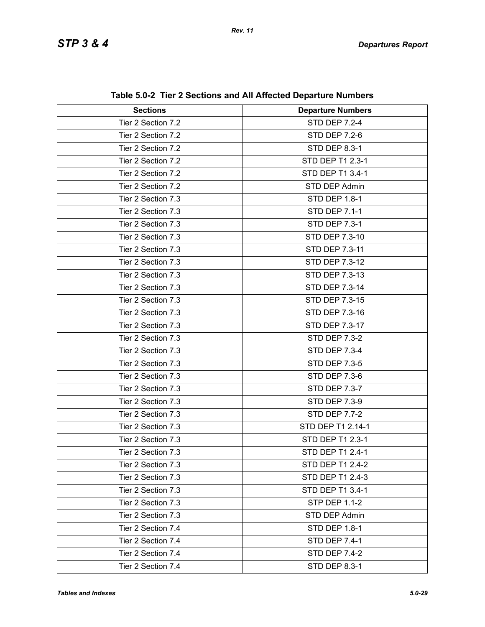| <b>Sections</b>    | <b>Departure Numbers</b> |
|--------------------|--------------------------|
| Tier 2 Section 7.2 | <b>STD DEP 7.2-4</b>     |
| Tier 2 Section 7.2 | <b>STD DEP 7.2-6</b>     |
| Tier 2 Section 7.2 | <b>STD DEP 8.3-1</b>     |
| Tier 2 Section 7.2 | STD DEP T1 2.3-1         |
| Tier 2 Section 7.2 | STD DEP T1 3.4-1         |
| Tier 2 Section 7.2 | STD DEP Admin            |
| Tier 2 Section 7.3 | <b>STD DEP 1.8-1</b>     |
| Tier 2 Section 7.3 | <b>STD DEP 7.1-1</b>     |
| Tier 2 Section 7.3 | <b>STD DEP 7.3-1</b>     |
| Tier 2 Section 7.3 | STD DEP 7.3-10           |
| Tier 2 Section 7.3 | STD DEP 7.3-11           |
| Tier 2 Section 7.3 | STD DEP 7.3-12           |
| Tier 2 Section 7.3 | STD DEP 7.3-13           |
| Tier 2 Section 7.3 | <b>STD DEP 7.3-14</b>    |
| Tier 2 Section 7.3 | <b>STD DEP 7.3-15</b>    |
| Tier 2 Section 7.3 | STD DEP 7.3-16           |
| Tier 2 Section 7.3 | STD DEP 7.3-17           |
| Tier 2 Section 7.3 | <b>STD DEP 7.3-2</b>     |
| Tier 2 Section 7.3 | <b>STD DEP 7.3-4</b>     |
| Tier 2 Section 7.3 | <b>STD DEP 7.3-5</b>     |
| Tier 2 Section 7.3 | <b>STD DEP 7.3-6</b>     |
| Tier 2 Section 7.3 | STD DEP 7.3-7            |
| Tier 2 Section 7.3 | <b>STD DEP 7.3-9</b>     |
| Tier 2 Section 7.3 | <b>STD DEP 7.7-2</b>     |
| Tier 2 Section 7.3 | STD DEP T1 2.14-1        |
| Tier 2 Section 7.3 | STD DEP T1 2.3-1         |
| Tier 2 Section 7.3 | STD DEP T1 2.4-1         |
| Tier 2 Section 7.3 | STD DEP T1 2.4-2         |
| Tier 2 Section 7.3 | STD DEP T1 2.4-3         |
| Tier 2 Section 7.3 | STD DEP T1 3.4-1         |
| Tier 2 Section 7.3 | <b>STP DEP 1.1-2</b>     |
| Tier 2 Section 7.3 | STD DEP Admin            |
| Tier 2 Section 7.4 | STD DEP 1.8-1            |
| Tier 2 Section 7.4 | <b>STD DEP 7.4-1</b>     |
| Tier 2 Section 7.4 | <b>STD DEP 7.4-2</b>     |
| Tier 2 Section 7.4 | <b>STD DEP 8.3-1</b>     |

**Table 5.0-2 Tier 2 Sections and All Affected Departure Numbers**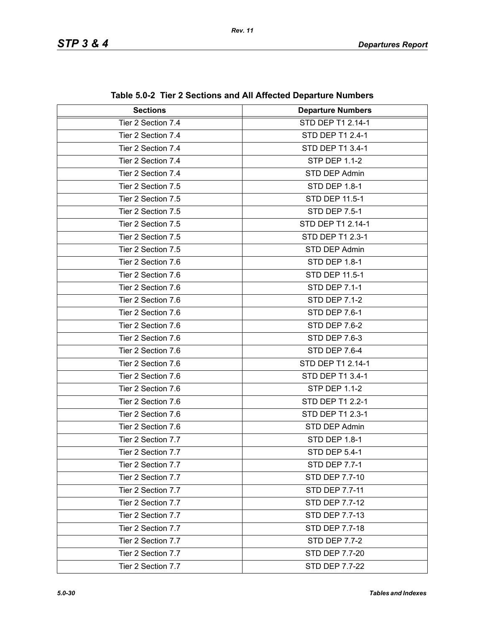| <b>Sections</b>    | <b>Departure Numbers</b> |
|--------------------|--------------------------|
| Tier 2 Section 7.4 | STD DEP T1 2.14-1        |
| Tier 2 Section 7.4 | STD DEP T1 2.4-1         |
| Tier 2 Section 7.4 | STD DEP T1 3.4-1         |
| Tier 2 Section 7.4 | <b>STP DEP 1.1-2</b>     |
| Tier 2 Section 7.4 | STD DEP Admin            |
| Tier 2 Section 7.5 | <b>STD DEP 1.8-1</b>     |
| Tier 2 Section 7.5 | STD DEP 11.5-1           |
| Tier 2 Section 7.5 | <b>STD DEP 7.5-1</b>     |
| Tier 2 Section 7.5 | STD DEP T1 2.14-1        |
| Tier 2 Section 7.5 | STD DEP T1 2.3-1         |
| Tier 2 Section 7.5 | STD DEP Admin            |
| Tier 2 Section 7.6 | <b>STD DEP 1.8-1</b>     |
| Tier 2 Section 7.6 | STD DEP 11.5-1           |
| Tier 2 Section 7.6 | <b>STD DEP 7.1-1</b>     |
| Tier 2 Section 7.6 | <b>STD DEP 7.1-2</b>     |
| Tier 2 Section 7.6 | <b>STD DEP 7.6-1</b>     |
| Tier 2 Section 7.6 | STD DEP 7.6-2            |
| Tier 2 Section 7.6 | STD DEP 7.6-3            |
| Tier 2 Section 7.6 | <b>STD DEP 7.6-4</b>     |
| Tier 2 Section 7.6 | STD DEP T1 2.14-1        |
| Tier 2 Section 7.6 | STD DEP T1 3.4-1         |
| Tier 2 Section 7.6 | <b>STP DEP 1.1-2</b>     |
| Tier 2 Section 7.6 | STD DEP T1 2.2-1         |
| Tier 2 Section 7.6 | STD DEP T1 2.3-1         |
| Tier 2 Section 7.6 | STD DEP Admin            |
| Tier 2 Section 7.7 | <b>STD DEP 1.8-1</b>     |
| Tier 2 Section 7.7 | STD DEP 5.4-1            |
| Tier 2 Section 7.7 | <b>STD DEP 7.7-1</b>     |
| Tier 2 Section 7.7 | STD DEP 7.7-10           |
| Tier 2 Section 7.7 | STD DEP 7.7-11           |
| Tier 2 Section 7.7 | STD DEP 7.7-12           |
| Tier 2 Section 7.7 | STD DEP 7.7-13           |
| Tier 2 Section 7.7 | STD DEP 7.7-18           |
| Tier 2 Section 7.7 | <b>STD DEP 7.7-2</b>     |
| Tier 2 Section 7.7 | STD DEP 7.7-20           |
| Tier 2 Section 7.7 | STD DEP 7.7-22           |

**Table 5.0-2 Tier 2 Sections and All Affected Departure Numbers**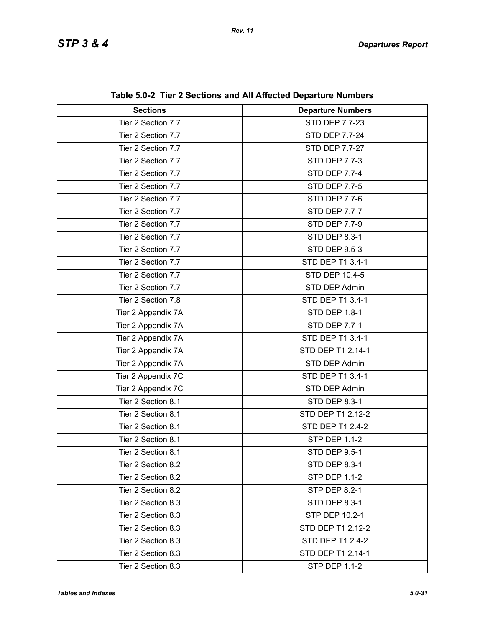| <b>Sections</b>    | <b>Departure Numbers</b> |
|--------------------|--------------------------|
| Tier 2 Section 7.7 | STD DEP 7.7-23           |
| Tier 2 Section 7.7 | <b>STD DEP 7.7-24</b>    |
| Tier 2 Section 7.7 | <b>STD DEP 7.7-27</b>    |
| Tier 2 Section 7.7 | <b>STD DEP 7.7-3</b>     |
| Tier 2 Section 7.7 | <b>STD DEP 7.7-4</b>     |
| Tier 2 Section 7.7 | <b>STD DEP 7.7-5</b>     |
| Tier 2 Section 7.7 | <b>STD DEP 7.7-6</b>     |
| Tier 2 Section 7.7 | <b>STD DEP 7.7-7</b>     |
| Tier 2 Section 7.7 | <b>STD DEP 7.7-9</b>     |
| Tier 2 Section 7.7 | STD DEP 8.3-1            |
| Tier 2 Section 7.7 | <b>STD DEP 9.5-3</b>     |
| Tier 2 Section 7.7 | STD DEP T1 3.4-1         |
| Tier 2 Section 7.7 | <b>STD DEP 10.4-5</b>    |
| Tier 2 Section 7.7 | STD DEP Admin            |
| Tier 2 Section 7.8 | STD DEP T1 3.4-1         |
| Tier 2 Appendix 7A | STD DEP 1.8-1            |
| Tier 2 Appendix 7A | <b>STD DEP 7.7-1</b>     |
| Tier 2 Appendix 7A | STD DEP T1 3.4-1         |
| Tier 2 Appendix 7A | STD DEP T1 2.14-1        |
| Tier 2 Appendix 7A | STD DEP Admin            |
| Tier 2 Appendix 7C | STD DEP T1 3.4-1         |
| Tier 2 Appendix 7C | STD DEP Admin            |
| Tier 2 Section 8.1 | STD DEP 8.3-1            |
| Tier 2 Section 8.1 | STD DEP T1 2.12-2        |
| Tier 2 Section 8.1 | STD DEP T1 2.4-2         |
| Tier 2 Section 8.1 | <b>STP DEP 1.1-2</b>     |
| Tier 2 Section 8.1 | STD DEP 9.5-1            |
| Tier 2 Section 8.2 | <b>STD DEP 8.3-1</b>     |
| Tier 2 Section 8.2 | <b>STP DEP 1.1-2</b>     |
| Tier 2 Section 8.2 | <b>STP DEP 8.2-1</b>     |
| Tier 2 Section 8.3 | STD DEP 8.3-1            |
| Tier 2 Section 8.3 | STP DEP 10.2-1           |
| Tier 2 Section 8.3 | STD DEP T1 2.12-2        |
| Tier 2 Section 8.3 | STD DEP T1 2.4-2         |
| Tier 2 Section 8.3 | STD DEP T1 2.14-1        |
| Tier 2 Section 8.3 | <b>STP DEP 1.1-2</b>     |

**Table 5.0-2 Tier 2 Sections and All Affected Departure Numbers**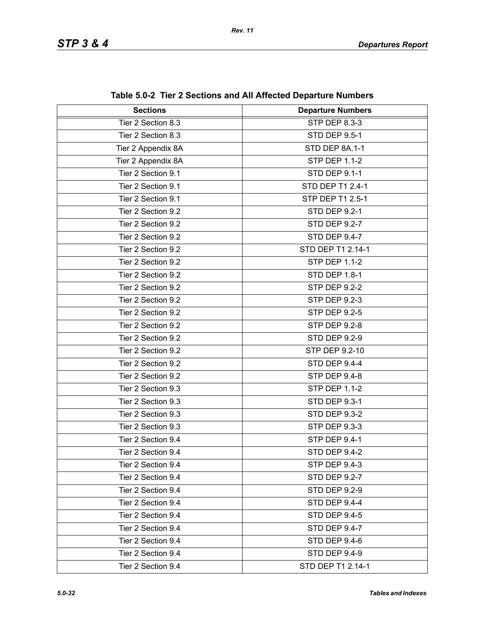| <b>Sections</b>    | <b>Departure Numbers</b> |
|--------------------|--------------------------|
| Tier 2 Section 8.3 | STP DEP 8.3-3            |
| Tier 2 Section 8.3 | <b>STD DEP 9.5-1</b>     |
| Tier 2 Appendix 8A | STD DEP 8A.1-1           |
| Tier 2 Appendix 8A | <b>STP DEP 1.1-2</b>     |
| Tier 2 Section 9.1 | <b>STD DEP 9.1-1</b>     |
| Tier 2 Section 9.1 | STD DEP T1 2.4-1         |
| Tier 2 Section 9.1 | STP DEP T1 2.5-1         |
| Tier 2 Section 9.2 | <b>STD DEP 9.2-1</b>     |
| Tier 2 Section 9.2 | <b>STD DEP 9.2-7</b>     |
| Tier 2 Section 9.2 | STD DEP 9.4-7            |
| Tier 2 Section 9.2 | STD DEP T1 2.14-1        |
| Tier 2 Section 9.2 | <b>STP DEP 1.1-2</b>     |
| Tier 2 Section 9.2 | STD DEP 1.8-1            |
| Tier 2 Section 9.2 | <b>STP DEP 9.2-2</b>     |
| Tier 2 Section 9.2 | <b>STP DEP 9.2-3</b>     |
| Tier 2 Section 9.2 | <b>STP DEP 9.2-5</b>     |
| Tier 2 Section 9.2 | <b>STP DEP 9.2-8</b>     |
| Tier 2 Section 9.2 | <b>STD DEP 9.2-9</b>     |
| Tier 2 Section 9.2 | STP DEP 9.2-10           |
| Tier 2 Section 9.2 | STD DEP 9.4-4            |
| Tier 2 Section 9.2 | <b>STP DEP 9.4-8</b>     |
| Tier 2 Section 9.3 | <b>STP DEP 1.1-2</b>     |
| Tier 2 Section 9.3 | STD DEP 9.3-1            |
| Tier 2 Section 9.3 | <b>STD DEP 9.3-2</b>     |
| Tier 2 Section 9.3 | STP DEP 9.3-3            |
| Tier 2 Section 9.4 | STP DEP 9.4-1            |
| Tier 2 Section 9.4 | <b>STD DEP 9.4-2</b>     |
| Tier 2 Section 9.4 | STP DEP 9.4-3            |
| Tier 2 Section 9.4 | <b>STD DEP 9.2-7</b>     |
| Tier 2 Section 9.4 | <b>STD DEP 9.2-9</b>     |
| Tier 2 Section 9.4 | STD DEP 9.4-4            |
| Tier 2 Section 9.4 | <b>STD DEP 9.4-5</b>     |
| Tier 2 Section 9.4 | STD DEP 9.4-7            |
| Tier 2 Section 9.4 | STD DEP 9.4-6            |
| Tier 2 Section 9.4 | STD DEP 9.4-9            |
| Tier 2 Section 9.4 | STD DEP T1 2.14-1        |

**Table 5.0-2 Tier 2 Sections and All Affected Departure Numbers**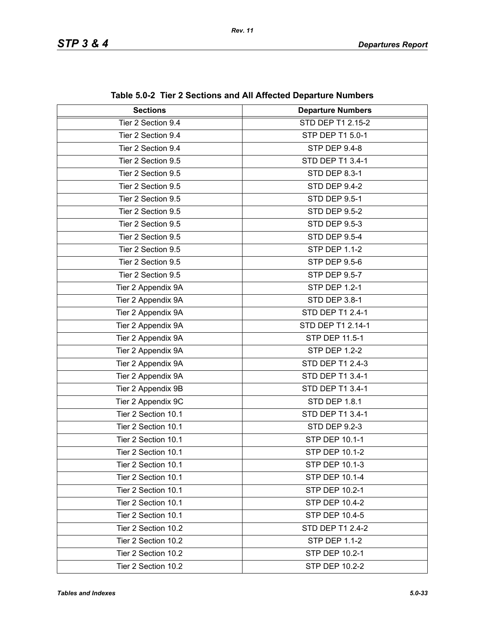| <b>Sections</b>     | <b>Departure Numbers</b> |
|---------------------|--------------------------|
| Tier 2 Section 9.4  | STD DEP T1 2.15-2        |
| Tier 2 Section 9.4  | STP DEP T1 5.0-1         |
| Tier 2 Section 9.4  | <b>STP DEP 9.4-8</b>     |
| Tier 2 Section 9.5  | STD DEP T1 3.4-1         |
| Tier 2 Section 9.5  | STD DEP 8.3-1            |
| Tier 2 Section 9.5  | STD DEP 9.4-2            |
| Tier 2 Section 9.5  | <b>STD DEP 9.5-1</b>     |
| Tier 2 Section 9.5  | <b>STD DEP 9.5-2</b>     |
| Tier 2 Section 9.5  | <b>STD DEP 9.5-3</b>     |
| Tier 2 Section 9.5  | <b>STD DEP 9.5-4</b>     |
| Tier 2 Section 9.5  | <b>STP DEP 1.1-2</b>     |
| Tier 2 Section 9.5  | <b>STP DEP 9.5-6</b>     |
| Tier 2 Section 9.5  | <b>STP DEP 9.5-7</b>     |
| Tier 2 Appendix 9A  | <b>STP DEP 1.2-1</b>     |
| Tier 2 Appendix 9A  | STD DEP 3.8-1            |
| Tier 2 Appendix 9A  | STD DEP T1 2.4-1         |
| Tier 2 Appendix 9A  | STD DEP T1 2.14-1        |
| Tier 2 Appendix 9A  | STP DEP 11.5-1           |
| Tier 2 Appendix 9A  | <b>STP DEP 1.2-2</b>     |
| Tier 2 Appendix 9A  | STD DEP T1 2.4-3         |
| Tier 2 Appendix 9A  | STD DEP T1 3.4-1         |
| Tier 2 Appendix 9B  | STD DEP T1 3.4-1         |
| Tier 2 Appendix 9C  | <b>STD DEP 1.8.1</b>     |
| Tier 2 Section 10.1 | STD DEP T1 3.4-1         |
| Tier 2 Section 10.1 | <b>STD DEP 9.2-3</b>     |
| Tier 2 Section 10.1 | STP DEP 10.1-1           |
| Tier 2 Section 10.1 | STP DEP 10.1-2           |
| Tier 2 Section 10.1 | <b>STP DEP 10.1-3</b>    |
| Tier 2 Section 10.1 | <b>STP DEP 10.1-4</b>    |
| Tier 2 Section 10.1 | STP DEP 10.2-1           |
| Tier 2 Section 10.1 | <b>STP DEP 10.4-2</b>    |
| Tier 2 Section 10.1 | STP DEP 10.4-5           |
| Tier 2 Section 10.2 | <b>STD DEP T1 2.4-2</b>  |
| Tier 2 Section 10.2 | <b>STP DEP 1.1-2</b>     |
| Tier 2 Section 10.2 | STP DEP 10.2-1           |
| Tier 2 Section 10.2 | STP DEP 10.2-2           |

**Table 5.0-2 Tier 2 Sections and All Affected Departure Numbers**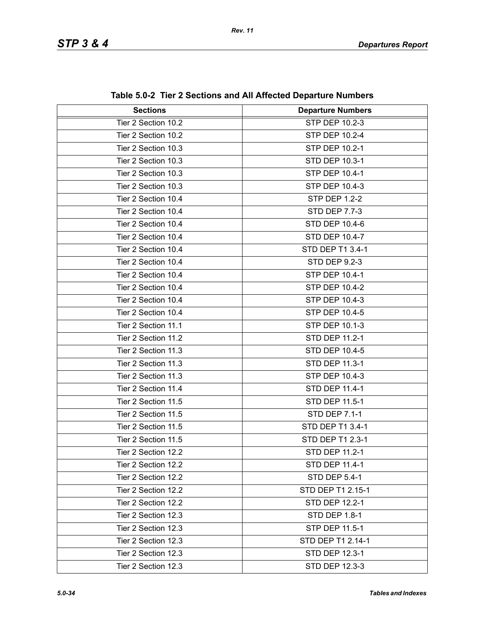| <b>Sections</b>     | <b>Departure Numbers</b> |  |
|---------------------|--------------------------|--|
| Tier 2 Section 10.2 | STP DEP 10.2-3           |  |
| Tier 2 Section 10.2 | STP DEP 10.2-4           |  |
| Tier 2 Section 10.3 | STP DEP 10.2-1           |  |
| Tier 2 Section 10.3 | STD DEP 10.3-1           |  |
| Tier 2 Section 10.3 | STP DEP 10.4-1           |  |
| Tier 2 Section 10.3 | STP DEP 10.4-3           |  |
| Tier 2 Section 10.4 | <b>STP DEP 1.2-2</b>     |  |
| Tier 2 Section 10.4 | <b>STD DEP 7.7-3</b>     |  |
| Tier 2 Section 10.4 | STD DEP 10.4-6           |  |
| Tier 2 Section 10.4 | STD DEP 10.4-7           |  |
| Tier 2 Section 10.4 | STD DEP T1 3.4-1         |  |
| Tier 2 Section 10.4 | <b>STD DEP 9.2-3</b>     |  |
| Tier 2 Section 10.4 | STP DEP 10.4-1           |  |
| Tier 2 Section 10.4 | STP DEP 10.4-2           |  |
| Tier 2 Section 10.4 | STP DEP 10.4-3           |  |
| Tier 2 Section 10.4 | STP DEP 10.4-5           |  |
| Tier 2 Section 11.1 | <b>STP DEP 10.1-3</b>    |  |
| Tier 2 Section 11.2 | STD DEP 11.2-1           |  |
| Tier 2 Section 11.3 | STD DEP 10.4-5           |  |
| Tier 2 Section 11.3 | <b>STD DEP 11.3-1</b>    |  |
| Tier 2 Section 11.3 | <b>STP DEP 10.4-3</b>    |  |
| Tier 2 Section 11.4 | STD DEP 11.4-1           |  |
| Tier 2 Section 11.5 | STD DEP 11.5-1           |  |
| Tier 2 Section 11.5 | <b>STD DEP 7.1-1</b>     |  |
| Tier 2 Section 11.5 | STD DEP T1 3.4-1         |  |
| Tier 2 Section 11.5 | STD DEP T1 2.3-1         |  |
| Tier 2 Section 12.2 | STD DEP 11.2-1           |  |
| Tier 2 Section 12.2 | STD DEP 11.4-1           |  |
| Tier 2 Section 12.2 | STD DEP 5.4-1            |  |
| Tier 2 Section 12.2 | STD DEP T1 2.15-1        |  |
| Tier 2 Section 12.2 | STD DEP 12.2-1           |  |
| Tier 2 Section 12.3 | <b>STD DEP 1.8-1</b>     |  |
| Tier 2 Section 12.3 | STP DEP 11.5-1           |  |
| Tier 2 Section 12.3 | STD DEP T1 2.14-1        |  |
| Tier 2 Section 12.3 | STD DEP 12.3-1           |  |
| Tier 2 Section 12.3 | STD DEP 12.3-3           |  |

**Table 5.0-2 Tier 2 Sections and All Affected Departure Numbers**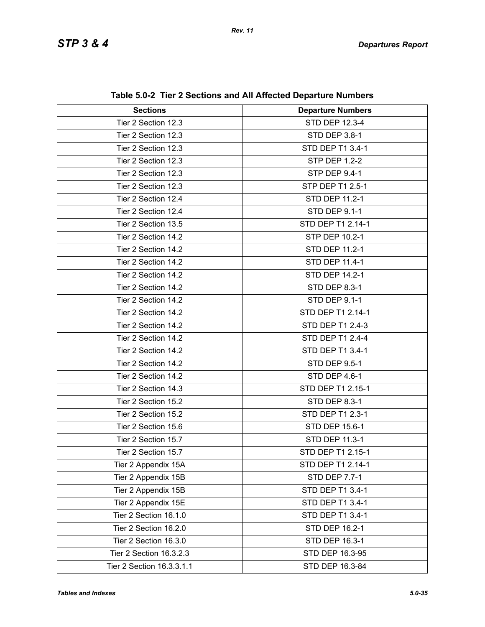| <b>Sections</b>           | <b>Departure Numbers</b> |  |
|---------------------------|--------------------------|--|
| Tier 2 Section 12.3       | STD DEP 12.3-4           |  |
| Tier 2 Section 12.3       | STD DEP 3.8-1            |  |
| Tier 2 Section 12.3       | STD DEP T1 3.4-1         |  |
| Tier 2 Section 12.3       | <b>STP DEP 1.2-2</b>     |  |
| Tier 2 Section 12.3       | STP DEP 9.4-1            |  |
| Tier 2 Section 12.3       | STP DEP T1 2.5-1         |  |
| Tier 2 Section 12.4       | STD DEP 11.2-1           |  |
| Tier 2 Section 12.4       | <b>STD DEP 9.1-1</b>     |  |
| Tier 2 Section 13.5       | STD DEP T1 2.14-1        |  |
| Tier 2 Section 14.2       | STP DEP 10.2-1           |  |
| Tier 2 Section 14.2       | STD DEP 11.2-1           |  |
| Tier 2 Section 14.2       | STD DEP 11.4-1           |  |
| Tier 2 Section 14.2       | STD DEP 14.2-1           |  |
| Tier 2 Section 14.2       | STD DEP 8.3-1            |  |
| Tier 2 Section 14.2       | <b>STD DEP 9.1-1</b>     |  |
| Tier 2 Section 14.2       | STD DEP T1 2.14-1        |  |
| Tier 2 Section 14.2       | STD DEP T1 2.4-3         |  |
| Tier 2 Section 14.2       | STD DEP T1 2.4-4         |  |
| Tier 2 Section 14.2       | STD DEP T1 3.4-1         |  |
| Tier 2 Section 14.2       | <b>STD DEP 9.5-1</b>     |  |
| Tier 2 Section 14.2       | STD DEP 4.6-1            |  |
| Tier 2 Section 14.3       | STD DEP T1 2.15-1        |  |
| Tier 2 Section 15.2       | <b>STD DEP 8.3-1</b>     |  |
| Tier 2 Section 15.2       | STD DEP T1 2.3-1         |  |
| Tier 2 Section 15.6       | STD DEP 15.6-1           |  |
| Tier 2 Section 15.7       | STD DEP 11.3-1           |  |
| Tier 2 Section 15.7       | STD DEP T1 2.15-1        |  |
| Tier 2 Appendix 15A       | STD DEP T1 2.14-1        |  |
| Tier 2 Appendix 15B       | <b>STD DEP 7.7-1</b>     |  |
| Tier 2 Appendix 15B       | STD DEP T1 3.4-1         |  |
| Tier 2 Appendix 15E       | STD DEP T1 3.4-1         |  |
| Tier 2 Section 16.1.0     | STD DEP T1 3.4-1         |  |
| Tier 2 Section 16.2.0     | <b>STD DEP 16.2-1</b>    |  |
| Tier 2 Section 16.3.0     | STD DEP 16.3-1           |  |
| Tier 2 Section 16.3.2.3   | STD DEP 16.3-95          |  |
| Tier 2 Section 16.3.3.1.1 | STD DEP 16.3-84          |  |

**Table 5.0-2 Tier 2 Sections and All Affected Departure Numbers**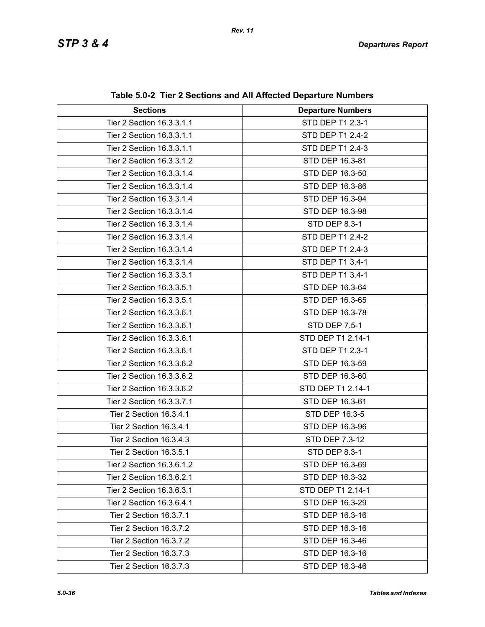| <b>Sections</b>           | <b>Departure Numbers</b> |  |
|---------------------------|--------------------------|--|
| Tier 2 Section 16.3.3.1.1 | STD DEP T1 2.3-1         |  |
| Tier 2 Section 16.3.3.1.1 | STD DEP T1 2.4-2         |  |
| Tier 2 Section 16.3.3.1.1 | STD DEP T1 2.4-3         |  |
| Tier 2 Section 16.3.3.1.2 | STD DEP 16.3-81          |  |
| Tier 2 Section 16.3.3.1.4 | STD DEP 16.3-50          |  |
| Tier 2 Section 16.3.3.1.4 | STD DEP 16.3-86          |  |
| Tier 2 Section 16.3.3.1.4 | STD DEP 16.3-94          |  |
| Tier 2 Section 16.3.3.1.4 | STD DEP 16.3-98          |  |
| Tier 2 Section 16.3.3.1.4 | STD DEP 8.3-1            |  |
| Tier 2 Section 16.3.3.1.4 | STD DEP T1 2.4-2         |  |
| Tier 2 Section 16.3.3.1.4 | STD DEP T1 2.4-3         |  |
| Tier 2 Section 16.3.3.1.4 | STD DEP T1 3.4-1         |  |
| Tier 2 Section 16.3.3.3.1 | STD DEP T1 3.4-1         |  |
| Tier 2 Section 16.3.3.5.1 | STD DEP 16.3-64          |  |
| Tier 2 Section 16.3.3.5.1 | STD DEP 16.3-65          |  |
| Tier 2 Section 16.3.3.6.1 | STD DEP 16.3-78          |  |
| Tier 2 Section 16.3.3.6.1 | STD DEP 7.5-1            |  |
| Tier 2 Section 16.3.3.6.1 | STD DEP T1 2.14-1        |  |
| Tier 2 Section 16.3.3.6.1 | STD DEP T1 2.3-1         |  |
| Tier 2 Section 16.3.3.6.2 | STD DEP 16.3-59          |  |
| Tier 2 Section 16.3.3.6.2 | STD DEP 16.3-60          |  |
| Tier 2 Section 16.3.3.6.2 | STD DEP T1 2.14-1        |  |
| Tier 2 Section 16.3.3.7.1 | STD DEP 16.3-61          |  |
| Tier 2 Section 16.3.4.1   | STD DEP 16.3-5           |  |
| Tier 2 Section 16.3.4.1   | STD DEP 16.3-96          |  |
| Tier 2 Section 16.3.4.3   | STD DEP 7.3-12           |  |
| Tier 2 Section 16.3.5.1   | STD DEP 8.3-1            |  |
| Tier 2 Section 16.3.6.1.2 | STD DEP 16.3-69          |  |
| Tier 2 Section 16.3.6.2.1 | STD DEP 16.3-32          |  |
| Tier 2 Section 16.3.6.3.1 | STD DEP T1 2.14-1        |  |
| Tier 2 Section 16.3.6.4.1 | STD DEP 16.3-29          |  |
| Tier 2 Section 16.3.7.1   | STD DEP 16.3-16          |  |
| Tier 2 Section 16.3.7.2   | STD DEP 16.3-16          |  |
| Tier 2 Section 16.3.7.2   | STD DEP 16.3-46          |  |
| Tier 2 Section 16.3.7.3   | STD DEP 16.3-16          |  |
| Tier 2 Section 16.3.7.3   | STD DEP 16.3-46          |  |

**Table 5.0-2 Tier 2 Sections and All Affected Departure Numbers**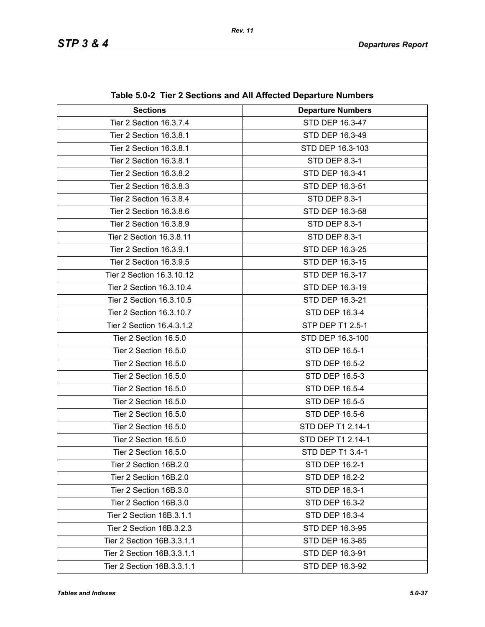| <b>Sections</b>            | <b>Departure Numbers</b> |  |
|----------------------------|--------------------------|--|
| Tier 2 Section 16.3.7.4    | STD DEP 16.3-47          |  |
| Tier 2 Section 16.3.8.1    | STD DEP 16.3-49          |  |
| Tier 2 Section 16.3.8.1    | STD DEP 16.3-103         |  |
| Tier 2 Section 16.3.8.1    | STD DEP 8.3-1            |  |
| Tier 2 Section 16.3.8.2    | STD DEP 16.3-41          |  |
| Tier 2 Section 16.3.8.3    | STD DEP 16.3-51          |  |
| Tier 2 Section 16.3.8.4    | STD DEP 8.3-1            |  |
| Tier 2 Section 16.3.8.6    | STD DEP 16.3-58          |  |
| Tier 2 Section 16.3.8.9    | STD DEP 8.3-1            |  |
| Tier 2 Section 16.3.8.11   | STD DEP 8.3-1            |  |
| Tier 2 Section 16.3.9.1    | STD DEP 16.3-25          |  |
| Tier 2 Section 16.3.9.5    | STD DEP 16.3-15          |  |
| Tier 2 Section 16.3.10.12  | STD DEP 16.3-17          |  |
| Tier 2 Section 16.3.10.4   | STD DEP 16.3-19          |  |
| Tier 2 Section 16.3.10.5   | STD DEP 16.3-21          |  |
| Tier 2 Section 16.3.10.7   | STD DEP 16.3-4           |  |
| Tier 2 Section 16.4.3.1.2  | STP DEP T1 2.5-1         |  |
| Tier 2 Section 16.5.0      | STD DEP 16.3-100         |  |
| Tier 2 Section 16.5.0      | STD DEP 16.5-1           |  |
| Tier 2 Section 16.5.0      | STD DEP 16.5-2           |  |
| Tier 2 Section 16.5.0      | STD DEP 16.5-3           |  |
| Tier 2 Section 16.5.0      | STD DEP 16.5-4           |  |
| Tier 2 Section 16.5.0      | STD DEP 16.5-5           |  |
| Tier 2 Section 16.5.0      | STD DEP 16.5-6           |  |
| Tier 2 Section 16.5.0      | STD DEP T1 2.14-1        |  |
| Tier 2 Section 16.5.0      | STD DEP T1 2.14-1        |  |
| Tier 2 Section 16.5.0      | STD DEP T1 3.4-1         |  |
| Tier 2 Section 16B.2.0     | STD DEP 16.2-1           |  |
| Tier 2 Section 16B.2.0     | STD DEP 16.2-2           |  |
| Tier 2 Section 16B.3.0     | <b>STD DEP 16.3-1</b>    |  |
| Tier 2 Section 16B.3.0     | STD DEP 16.3-2           |  |
| Tier 2 Section 16B.3.1.1   | STD DEP 16.3-4           |  |
| Tier 2 Section 16B.3.2.3   | STD DEP 16.3-95          |  |
| Tier 2 Section 16B.3.3.1.1 | STD DEP 16.3-85          |  |
| Tier 2 Section 16B.3.3.1.1 | STD DEP 16.3-91          |  |
| Tier 2 Section 16B.3.3.1.1 | STD DEP 16.3-92          |  |

**Table 5.0-2 Tier 2 Sections and All Affected Departure Numbers**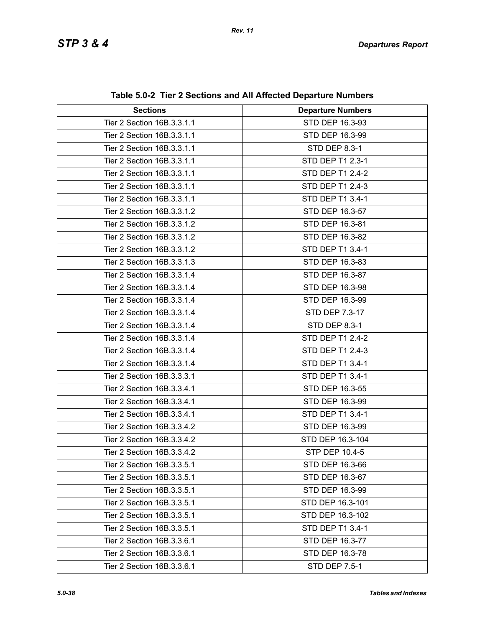| <b>Sections</b>            | <b>Departure Numbers</b> |  |
|----------------------------|--------------------------|--|
| Tier 2 Section 16B.3.3.1.1 | STD DEP 16.3-93          |  |
| Tier 2 Section 16B.3.3.1.1 | STD DEP 16.3-99          |  |
| Tier 2 Section 16B.3.3.1.1 | <b>STD DEP 8.3-1</b>     |  |
| Tier 2 Section 16B.3.3.1.1 | STD DEP T1 2.3-1         |  |
| Tier 2 Section 16B.3.3.1.1 | STD DEP T1 2.4-2         |  |
| Tier 2 Section 16B.3.3.1.1 | STD DEP T1 2.4-3         |  |
| Tier 2 Section 16B.3.3.1.1 | STD DEP T1 3.4-1         |  |
| Tier 2 Section 16B.3.3.1.2 | STD DEP 16.3-57          |  |
| Tier 2 Section 16B.3.3.1.2 | STD DEP 16.3-81          |  |
| Tier 2 Section 16B.3.3.1.2 | STD DEP 16.3-82          |  |
| Tier 2 Section 16B.3.3.1.2 | STD DEP T1 3.4-1         |  |
| Tier 2 Section 16B.3.3.1.3 | STD DEP 16.3-83          |  |
| Tier 2 Section 16B.3.3.1.4 | STD DEP 16.3-87          |  |
| Tier 2 Section 16B.3.3.1.4 | STD DEP 16.3-98          |  |
| Tier 2 Section 16B.3.3.1.4 | STD DEP 16.3-99          |  |
| Tier 2 Section 16B.3.3.1.4 | STD DEP 7.3-17           |  |
| Tier 2 Section 16B.3.3.1.4 | STD DEP 8.3-1            |  |
| Tier 2 Section 16B.3.3.1.4 | STD DEP T1 2.4-2         |  |
| Tier 2 Section 16B.3.3.1.4 | STD DEP T1 2.4-3         |  |
| Tier 2 Section 16B.3.3.1.4 | STD DEP T1 3.4-1         |  |
| Tier 2 Section 16B.3.3.3.1 | STD DEP T1 3.4-1         |  |
| Tier 2 Section 16B.3.3.4.1 | STD DEP 16.3-55          |  |
| Tier 2 Section 16B.3.3.4.1 | STD DEP 16.3-99          |  |
| Tier 2 Section 16B.3.3.4.1 | STD DEP T1 3.4-1         |  |
| Tier 2 Section 16B.3.3.4.2 | STD DEP 16.3-99          |  |
| Tier 2 Section 16B.3.3.4.2 | STD DEP 16.3-104         |  |
| Tier 2 Section 16B.3.3.4.2 | STP DEP 10.4-5           |  |
| Tier 2 Section 16B.3.3.5.1 | STD DEP 16.3-66          |  |
| Tier 2 Section 16B.3.3.5.1 | STD DEP 16.3-67          |  |
| Tier 2 Section 16B.3.3.5.1 | STD DEP 16.3-99          |  |
| Tier 2 Section 16B.3.3.5.1 | STD DEP 16.3-101         |  |
| Tier 2 Section 16B.3.3.5.1 | STD DEP 16.3-102         |  |
| Tier 2 Section 16B.3.3.5.1 | STD DEP T1 3.4-1         |  |
| Tier 2 Section 16B.3.3.6.1 | STD DEP 16.3-77          |  |
| Tier 2 Section 16B.3.3.6.1 | STD DEP 16.3-78          |  |
| Tier 2 Section 16B.3.3.6.1 | STD DEP 7.5-1            |  |

**Table 5.0-2 Tier 2 Sections and All Affected Departure Numbers**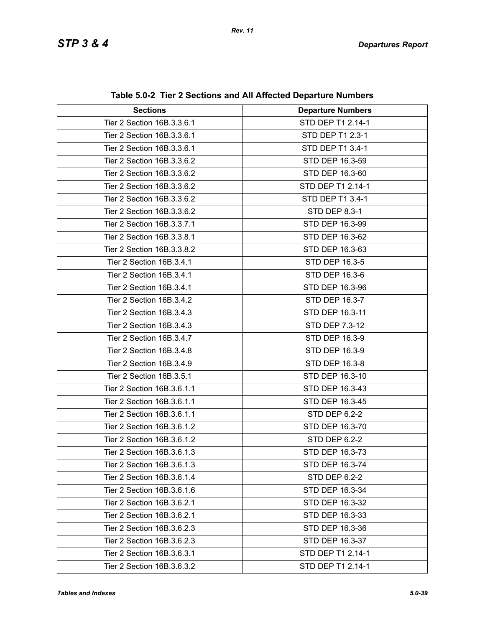| <b>Sections</b>            | <b>Departure Numbers</b> |  |
|----------------------------|--------------------------|--|
| Tier 2 Section 16B.3.3.6.1 | STD DEP T1 2.14-1        |  |
| Tier 2 Section 16B.3.3.6.1 | STD DEP T1 2.3-1         |  |
| Tier 2 Section 16B.3.3.6.1 | STD DEP T1 3.4-1         |  |
| Tier 2 Section 16B.3.3.6.2 | STD DEP 16.3-59          |  |
| Tier 2 Section 16B.3.3.6.2 | STD DEP 16.3-60          |  |
| Tier 2 Section 16B.3.3.6.2 | STD DEP T1 2.14-1        |  |
| Tier 2 Section 16B.3.3.6.2 | STD DEP T1 3.4-1         |  |
| Tier 2 Section 16B.3.3.6.2 | <b>STD DEP 8.3-1</b>     |  |
| Tier 2 Section 16B.3.3.7.1 | STD DEP 16.3-99          |  |
| Tier 2 Section 16B.3.3.8.1 | STD DEP 16.3-62          |  |
| Tier 2 Section 16B.3.3.8.2 | STD DEP 16.3-63          |  |
| Tier 2 Section 16B.3.4.1   | STD DEP 16.3-5           |  |
| Tier 2 Section 16B.3.4.1   | STD DEP 16.3-6           |  |
| Tier 2 Section 16B.3.4.1   | STD DEP 16.3-96          |  |
| Tier 2 Section 16B.3.4.2   | STD DEP 16.3-7           |  |
| Tier 2 Section 16B.3.4.3   | STD DEP 16.3-11          |  |
| Tier 2 Section 16B.3.4.3   | STD DEP 7.3-12           |  |
| Tier 2 Section 16B.3.4.7   | STD DEP 16.3-9           |  |
| Tier 2 Section 16B.3.4.8   | STD DEP 16.3-9           |  |
| Tier 2 Section 16B.3.4.9   | STD DEP 16.3-8           |  |
| Tier 2 Section 16B.3.5.1   | STD DEP 16.3-10          |  |
| Tier 2 Section 16B.3.6.1.1 | STD DEP 16.3-43          |  |
| Tier 2 Section 16B.3.6.1.1 | STD DEP 16.3-45          |  |
| Tier 2 Section 16B.3.6.1.1 | STD DEP 6.2-2            |  |
| Tier 2 Section 16B.3.6.1.2 | STD DEP 16.3-70          |  |
| Tier 2 Section 16B.3.6.1.2 | STD DEP 6.2-2            |  |
| Tier 2 Section 16B.3.6.1.3 | STD DEP 16.3-73          |  |
| Tier 2 Section 16B.3.6.1.3 | STD DEP 16.3-74          |  |
| Tier 2 Section 16B.3.6.1.4 | STD DEP 6.2-2            |  |
| Tier 2 Section 16B.3.6.1.6 | STD DEP 16.3-34          |  |
| Tier 2 Section 16B.3.6.2.1 | STD DEP 16.3-32          |  |
| Tier 2 Section 16B.3.6.2.1 | STD DEP 16.3-33          |  |
| Tier 2 Section 16B.3.6.2.3 | STD DEP 16.3-36          |  |
| Tier 2 Section 16B.3.6.2.3 | STD DEP 16.3-37          |  |
| Tier 2 Section 16B.3.6.3.1 | STD DEP T1 2.14-1        |  |
| Tier 2 Section 16B.3.6.3.2 | STD DEP T1 2.14-1        |  |

|  |  | Table 5.0-2 Tier 2 Sections and All Affected Departure Numbers |  |  |
|--|--|----------------------------------------------------------------|--|--|
|--|--|----------------------------------------------------------------|--|--|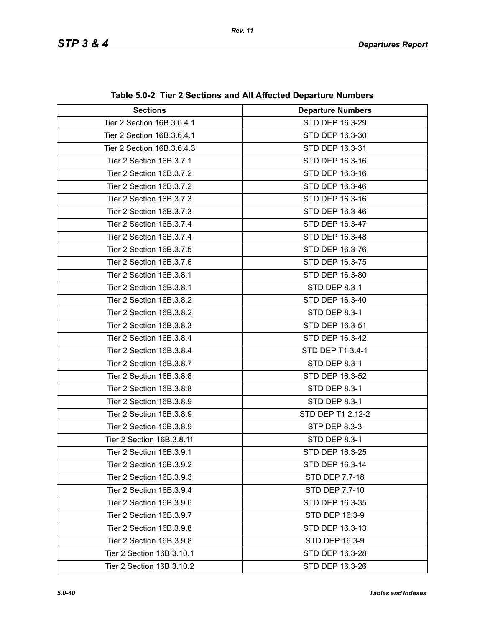| <b>Sections</b>            | <b>Departure Numbers</b> |  |
|----------------------------|--------------------------|--|
| Tier 2 Section 16B.3.6.4.1 | STD DEP 16.3-29          |  |
| Tier 2 Section 16B.3.6.4.1 | STD DEP 16.3-30          |  |
| Tier 2 Section 16B.3.6.4.3 | STD DEP 16.3-31          |  |
| Tier 2 Section 16B.3.7.1   | STD DEP 16.3-16          |  |
| Tier 2 Section 16B.3.7.2   | STD DEP 16.3-16          |  |
| Tier 2 Section 16B.3.7.2   | STD DEP 16.3-46          |  |
| Tier 2 Section 16B.3.7.3   | STD DEP 16.3-16          |  |
| Tier 2 Section 16B.3.7.3   | STD DEP 16.3-46          |  |
| Tier 2 Section 16B.3.7.4   | STD DEP 16.3-47          |  |
|                            |                          |  |
| Tier 2 Section 16B.3.7.4   | STD DEP 16.3-48          |  |
| Tier 2 Section 16B.3.7.5   | STD DEP 16.3-76          |  |
| Tier 2 Section 16B.3.7.6   | STD DEP 16.3-75          |  |
| Tier 2 Section 16B.3.8.1   | STD DEP 16.3-80          |  |
| Tier 2 Section 16B.3.8.1   | STD DEP 8.3-1            |  |
| Tier 2 Section 16B.3.8.2   | STD DEP 16.3-40          |  |
| Tier 2 Section 16B.3.8.2   | STD DEP 8.3-1            |  |
| Tier 2 Section 16B.3.8.3   | STD DEP 16.3-51          |  |
| Tier 2 Section 16B.3.8.4   | STD DEP 16.3-42          |  |
| Tier 2 Section 16B.3.8.4   | STD DEP T1 3.4-1         |  |
| Tier 2 Section 16B.3.8.7   | STD DEP 8.3-1            |  |
| Tier 2 Section 16B.3.8.8   | STD DEP 16.3-52          |  |
| Tier 2 Section 16B.3.8.8   | <b>STD DEP 8.3-1</b>     |  |
| Tier 2 Section 16B.3.8.9   | STD DEP 8.3-1            |  |
| Tier 2 Section 16B.3.8.9   | STD DEP T1 2.12-2        |  |
| Tier 2 Section 16B.3.8.9   | STP DEP 8.3-3            |  |
| Tier 2 Section 16B.3.8.11  | <b>STD DEP 8.3-1</b>     |  |
| Tier 2 Section 16B.3.9.1   | STD DEP 16.3-25          |  |
| Tier 2 Section 16B.3.9.2   | STD DEP 16.3-14          |  |
| Tier 2 Section 16B.3.9.3   | STD DEP 7.7-18           |  |
| Tier 2 Section 16B.3.9.4   | STD DEP 7.7-10           |  |
| Tier 2 Section 16B.3.9.6   | STD DEP 16.3-35          |  |
| Tier 2 Section 16B.3.9.7   | STD DEP 16.3-9           |  |
| Tier 2 Section 16B.3.9.8   | STD DEP 16.3-13          |  |
| Tier 2 Section 16B.3.9.8   | STD DEP 16.3-9           |  |
| Tier 2 Section 16B.3.10.1  | STD DEP 16.3-28          |  |
| Tier 2 Section 16B.3.10.2  | STD DEP 16.3-26          |  |

**Table 5.0-2 Tier 2 Sections and All Affected Departure Numbers**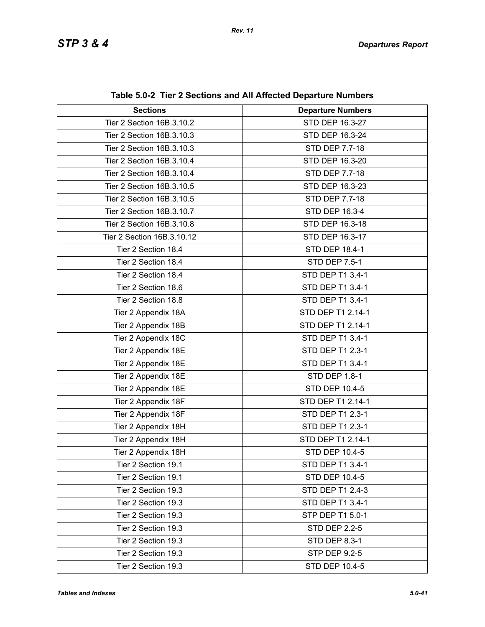| <b>Sections</b>            | <b>Departure Numbers</b> |  |
|----------------------------|--------------------------|--|
| Tier 2 Section 16B.3.10.2  | STD DEP 16.3-27          |  |
| Tier 2 Section 16B.3.10.3  | STD DEP 16.3-24          |  |
| Tier 2 Section 16B.3.10.3  | <b>STD DEP 7.7-18</b>    |  |
| Tier 2 Section 16B.3.10.4  | STD DEP 16.3-20          |  |
| Tier 2 Section 16B.3.10.4  | STD DEP 7.7-18           |  |
| Tier 2 Section 16B.3.10.5  | STD DEP 16.3-23          |  |
| Tier 2 Section 16B.3.10.5  | STD DEP 7.7-18           |  |
| Tier 2 Section 16B.3.10.7  | STD DEP 16.3-4           |  |
| Tier 2 Section 16B.3.10.8  | STD DEP 16.3-18          |  |
| Tier 2 Section 16B.3.10.12 | STD DEP 16.3-17          |  |
| Tier 2 Section 18.4        | STD DEP 18.4-1           |  |
| Tier 2 Section 18.4        | <b>STD DEP 7.5-1</b>     |  |
| Tier 2 Section 18.4        | STD DEP T1 3.4-1         |  |
| Tier 2 Section 18.6        | STD DEP T1 3.4-1         |  |
| Tier 2 Section 18.8        | STD DEP T1 3.4-1         |  |
| Tier 2 Appendix 18A        | STD DEP T1 2.14-1        |  |
| Tier 2 Appendix 18B        | STD DEP T1 2.14-1        |  |
| Tier 2 Appendix 18C        | STD DEP T1 3.4-1         |  |
| Tier 2 Appendix 18E        | STD DEP T1 2.3-1         |  |
| Tier 2 Appendix 18E        | STD DEP T1 3.4-1         |  |
| Tier 2 Appendix 18E        | STD DEP 1.8-1            |  |
| Tier 2 Appendix 18E        | STD DEP 10.4-5           |  |
| Tier 2 Appendix 18F        | STD DEP T1 2.14-1        |  |
| Tier 2 Appendix 18F        | STD DEP T1 2.3-1         |  |
| Tier 2 Appendix 18H        | STD DEP T1 2.3-1         |  |
| Tier 2 Appendix 18H        | STD DEP T1 2.14-1        |  |
| Tier 2 Appendix 18H        | STD DEP 10.4-5           |  |
| Tier 2 Section 19.1        | STD DEP T1 3.4-1         |  |
| Tier 2 Section 19.1        | STD DEP 10.4-5           |  |
| Tier 2 Section 19.3        | STD DEP T1 2.4-3         |  |
| Tier 2 Section 19.3        | STD DEP T1 3.4-1         |  |
| Tier 2 Section 19.3        | STP DEP T1 5.0-1         |  |
| Tier 2 Section 19.3        | <b>STD DEP 2.2-5</b>     |  |
| Tier 2 Section 19.3        | <b>STD DEP 8.3-1</b>     |  |
| Tier 2 Section 19.3        | <b>STP DEP 9.2-5</b>     |  |
| Tier 2 Section 19.3        | STD DEP 10.4-5           |  |

**Table 5.0-2 Tier 2 Sections and All Affected Departure Numbers**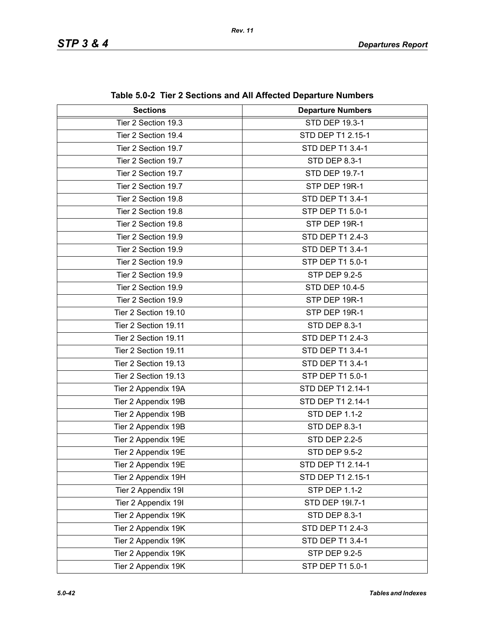| <b>Sections</b>      | <b>Departure Numbers</b> |  |
|----------------------|--------------------------|--|
| Tier 2 Section 19.3  | <b>STD DEP 19.3-1</b>    |  |
| Tier 2 Section 19.4  | STD DEP T1 2.15-1        |  |
| Tier 2 Section 19.7  | STD DEP T1 3.4-1         |  |
| Tier 2 Section 19.7  | <b>STD DEP 8.3-1</b>     |  |
| Tier 2 Section 19.7  | STD DEP 19.7-1           |  |
| Tier 2 Section 19.7  | STP DEP 19R-1            |  |
| Tier 2 Section 19.8  | STD DEP T1 3.4-1         |  |
| Tier 2 Section 19.8  | STP DEP T1 5.0-1         |  |
| Tier 2 Section 19.8  | STP DEP 19R-1            |  |
| Tier 2 Section 19.9  | STD DEP T1 2.4-3         |  |
| Tier 2 Section 19.9  | STD DEP T1 3.4-1         |  |
| Tier 2 Section 19.9  | STP DEP T1 5.0-1         |  |
| Tier 2 Section 19.9  | <b>STP DEP 9.2-5</b>     |  |
| Tier 2 Section 19.9  | <b>STD DEP 10.4-5</b>    |  |
| Tier 2 Section 19.9  | STP DEP 19R-1            |  |
| Tier 2 Section 19.10 | STP DEP 19R-1            |  |
| Tier 2 Section 19.11 | <b>STD DEP 8.3-1</b>     |  |
| Tier 2 Section 19.11 | STD DEP T1 2.4-3         |  |
| Tier 2 Section 19.11 | STD DEP T1 3.4-1         |  |
| Tier 2 Section 19.13 | STD DEP T1 3.4-1         |  |
| Tier 2 Section 19.13 | STP DEP T1 5.0-1         |  |
| Tier 2 Appendix 19A  | STD DEP T1 2.14-1        |  |
| Tier 2 Appendix 19B  | STD DEP T1 2.14-1        |  |
| Tier 2 Appendix 19B  | <b>STD DEP 1.1-2</b>     |  |
| Tier 2 Appendix 19B  | <b>STD DEP 8.3-1</b>     |  |
| Tier 2 Appendix 19E  | <b>STD DEP 2.2-5</b>     |  |
| Tier 2 Appendix 19E  | <b>STD DEP 9.5-2</b>     |  |
| Tier 2 Appendix 19E  | STD DEP T1 2.14-1        |  |
| Tier 2 Appendix 19H  | STD DEP T1 2.15-1        |  |
| Tier 2 Appendix 19I  | <b>STP DEP 1.1-2</b>     |  |
| Tier 2 Appendix 19I  | STD DEP 191.7-1          |  |
| Tier 2 Appendix 19K  | STD DEP 8.3-1            |  |
| Tier 2 Appendix 19K  | STD DEP T1 2.4-3         |  |
| Tier 2 Appendix 19K  | STD DEP T1 3.4-1         |  |
| Tier 2 Appendix 19K  | <b>STP DEP 9.2-5</b>     |  |
| Tier 2 Appendix 19K  | STP DEP T1 5.0-1         |  |

**Table 5.0-2 Tier 2 Sections and All Affected Departure Numbers**